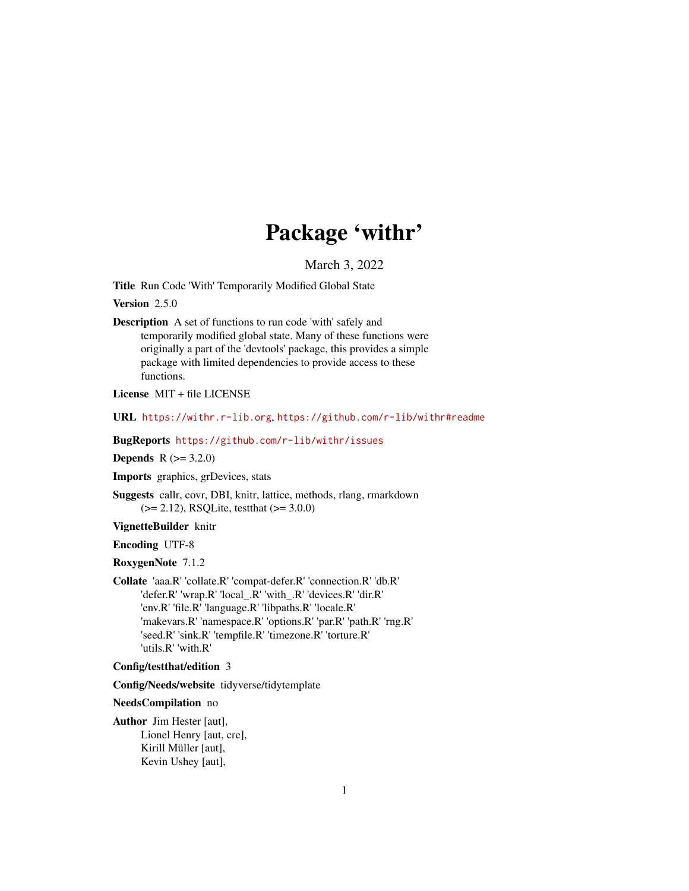# Package 'withr'

March 3, 2022

<span id="page-0-0"></span>Title Run Code 'With' Temporarily Modified Global State

Version 2.5.0

Description A set of functions to run code 'with' safely and temporarily modified global state. Many of these functions were originally a part of the 'devtools' package, this provides a simple package with limited dependencies to provide access to these functions.

License MIT + file LICENSE

URL <https://withr.r-lib.org>, <https://github.com/r-lib/withr#readme>

BugReports <https://github.com/r-lib/withr/issues>

**Depends** R  $(>= 3.2.0)$ 

Imports graphics, grDevices, stats

Suggests callr, covr, DBI, knitr, lattice, methods, rlang, rmarkdown  $(>= 2.12)$ , RSQLite, testthat  $(>= 3.0.0)$ 

VignetteBuilder knitr

Encoding UTF-8

RoxygenNote 7.1.2

Collate 'aaa.R' 'collate.R' 'compat-defer.R' 'connection.R' 'db.R' 'defer.R' 'wrap.R' 'local\_.R' 'with\_.R' 'devices.R' 'dir.R' 'env.R' 'file.R' 'language.R' 'libpaths.R' 'locale.R' 'makevars.R' 'namespace.R' 'options.R' 'par.R' 'path.R' 'rng.R' 'seed.R' 'sink.R' 'tempfile.R' 'timezone.R' 'torture.R' 'utils.R' 'with.R'

Config/testthat/edition 3

Config/Needs/website tidyverse/tidytemplate

NeedsCompilation no

Author Jim Hester [aut], Lionel Henry [aut, cre], Kirill Müller [aut], Kevin Ushey [aut],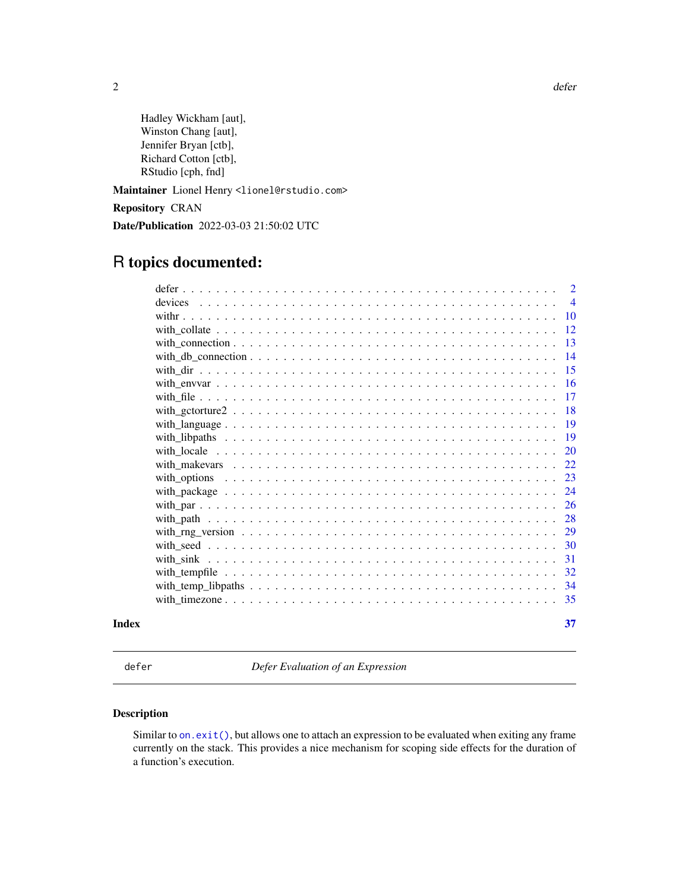<span id="page-1-0"></span> $2 \,$  defer

Hadley Wickham [aut], Winston Chang [aut], Jennifer Bryan [ctb], Richard Cotton [ctb], RStudio [cph, fnd]

Maintainer Lionel Henry <lionel@rstudio.com>

Repository CRAN

Date/Publication 2022-03-03 21:50:02 UTC

# R topics documented:

| Index |                                                                                                                                                           | 37             |
|-------|-----------------------------------------------------------------------------------------------------------------------------------------------------------|----------------|
|       |                                                                                                                                                           | 35             |
|       |                                                                                                                                                           | 34             |
|       | with tempfile $\ldots$ , $\ldots$ , $\ldots$ , $\ldots$ , $\ldots$ , $\ldots$ , $\ldots$ , $\ldots$ , $\ldots$ , $\ldots$ , $\ldots$ , $\ldots$           | 32             |
|       |                                                                                                                                                           | 31             |
|       |                                                                                                                                                           | 30             |
|       |                                                                                                                                                           | 29             |
|       |                                                                                                                                                           | 28             |
|       |                                                                                                                                                           | 26             |
|       |                                                                                                                                                           | 24             |
|       |                                                                                                                                                           | 23             |
|       |                                                                                                                                                           | 22             |
|       |                                                                                                                                                           | 20             |
|       |                                                                                                                                                           | 19             |
|       |                                                                                                                                                           | -19            |
|       |                                                                                                                                                           | 18             |
|       |                                                                                                                                                           | 17             |
|       |                                                                                                                                                           | <b>16</b>      |
|       |                                                                                                                                                           | -15            |
|       |                                                                                                                                                           | 14             |
|       |                                                                                                                                                           | 13             |
|       | with collate $\ldots$ , $\ldots$ , $\ldots$ , $\ldots$ , $\ldots$ , $\ldots$ , $\ldots$ , $\ldots$ , $\ldots$ , $\ldots$ , $\ldots$ , $\ldots$ , $\ldots$ | 12             |
|       |                                                                                                                                                           | <b>10</b>      |
|       | devices                                                                                                                                                   | $\overline{4}$ |
|       |                                                                                                                                                           | $\overline{2}$ |

defer *Defer Evaluation of an Expression*

### Description

Similar to [on.exit\(\)](#page-0-0), but allows one to attach an expression to be evaluated when exiting any frame currently on the stack. This provides a nice mechanism for scoping side effects for the duration of a function's execution.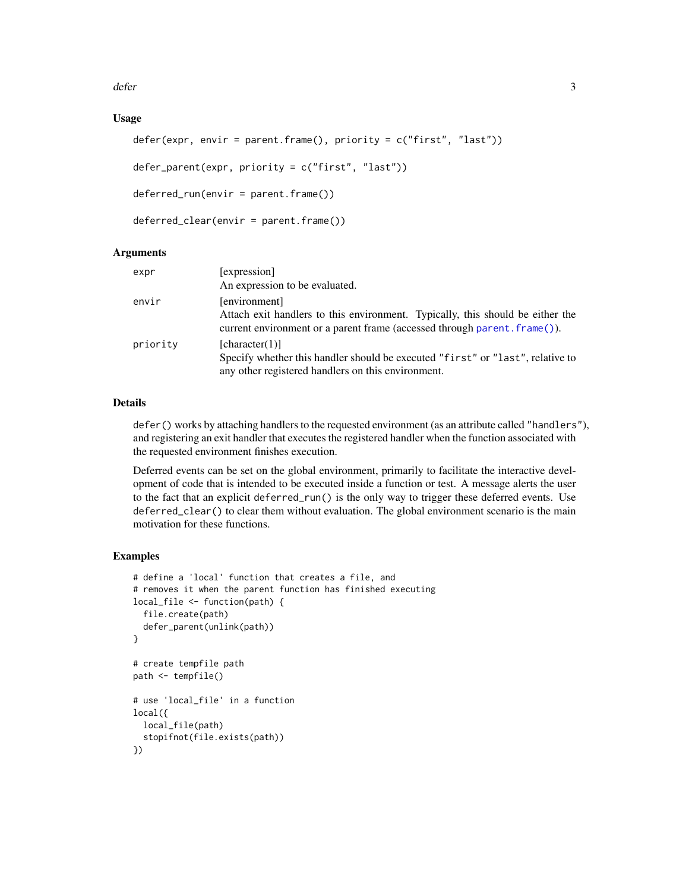<span id="page-2-0"></span>defer 3

### Usage

```
defer(expr, envir = parent.frame(), priority = c("first", "last"))
```

```
defer_parent(expr, priority = c("first", "last"))
```

```
deferred_run(envir = parent.frame())
```

```
deferred_clear(envir = parent.frame())
```
### Arguments

| expr     | [expression]<br>An expression to be evaluated.                                                                                                                               |
|----------|------------------------------------------------------------------------------------------------------------------------------------------------------------------------------|
| envir    | [environment]<br>Attach exit handlers to this environment. Typically, this should be either the<br>current environment or a parent frame (accessed through parent, frame()). |
| priority | [character(1)]<br>Specify whether this handler should be executed "first" or "last", relative to<br>any other registered handlers on this environment.                       |

### Details

defer() works by attaching handlers to the requested environment (as an attribute called "handlers"), and registering an exit handler that executes the registered handler when the function associated with the requested environment finishes execution.

Deferred events can be set on the global environment, primarily to facilitate the interactive development of code that is intended to be executed inside a function or test. A message alerts the user to the fact that an explicit deferred\_run() is the only way to trigger these deferred events. Use deferred\_clear() to clear them without evaluation. The global environment scenario is the main motivation for these functions.

### Examples

```
# define a 'local' function that creates a file, and
# removes it when the parent function has finished executing
local_file <- function(path) {
  file.create(path)
  defer_parent(unlink(path))
}
# create tempfile path
path <- tempfile()
# use 'local_file' in a function
local({
  local_file(path)
  stopifnot(file.exists(path))
})
```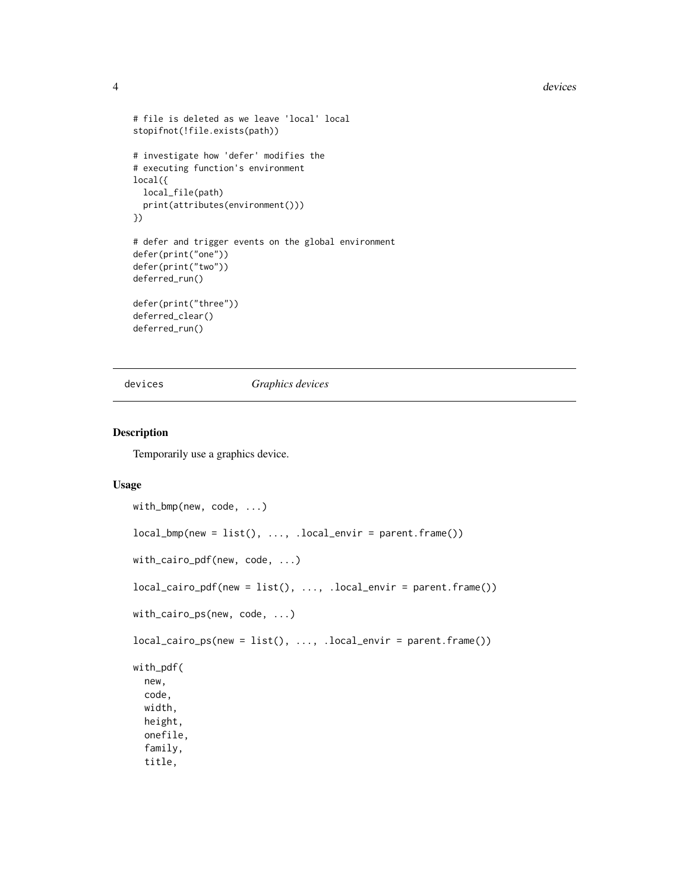#### 4 devices and the contract of the contract of the contract of the contract of the contract of the contract of the contract of the contract of the contract of the contract of the contract of the contract of the contract of

```
# file is deleted as we leave 'local' local
stopifnot(!file.exists(path))
# investigate how 'defer' modifies the
# executing function's environment
local({
  local_file(path)
  print(attributes(environment()))
})
# defer and trigger events on the global environment
defer(print("one"))
defer(print("two"))
deferred_run()
defer(print("three"))
deferred_clear()
deferred_run()
```
devices *Graphics devices*

#### Description

Temporarily use a graphics device.

```
with_bmp(new, code, ...)
local\_bmp(new = list(), ..., local\_envir = parent-frame())with_cairo_pdf(new, code, ...)
local_cairo_pdf(new = list(), ..., .local_envir = parent.frame())
with_cairo_ps(new, code, ...)
local\_cairo_ps(new = list(), ..., local\_envir = parent-frame())with_pdf(
  new,
  code,
 width,
  height,
  onefile,
  family,
  title,
```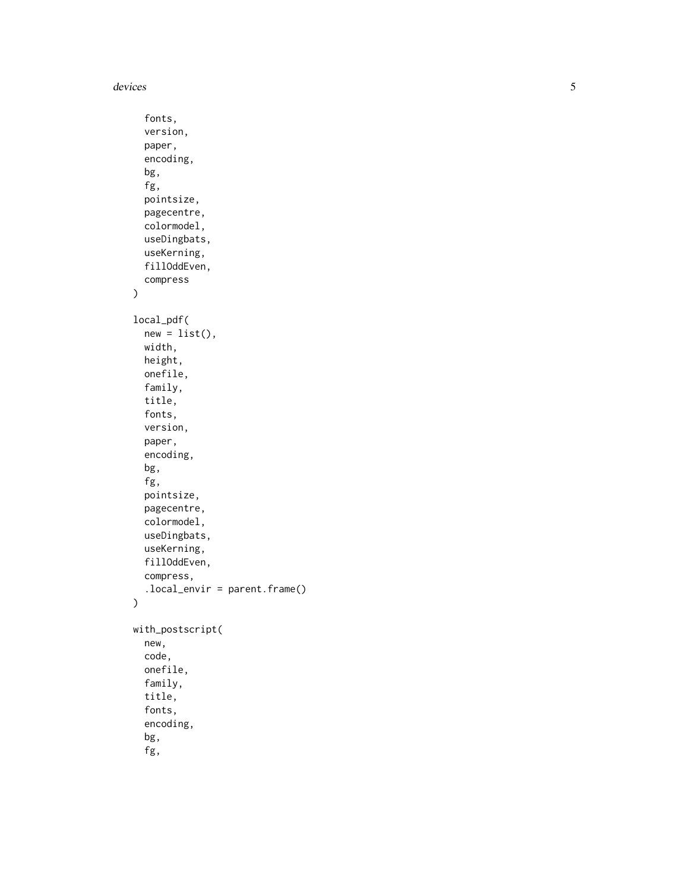```
fonts,
  version,
 paper,
  encoding,
  bg,
  fg,
 pointsize,
 pagecentre,
  colormodel,
  useDingbats,
  useKerning,
  fillOddEven,
 compress
)
local_pdf(
 new = list(),
 width,
 height,
 onefile,
  family,
  title,
  fonts,
  version,
  paper,
  encoding,
  bg,
  fg,
  pointsize,
 pagecentre,
  colormodel,
  useDingbats,
 useKerning,
  fillOddEven,
  compress,
  .local_envir = parent.frame()
\overline{\phantom{a}}with_postscript(
  new,
  code,
 onefile,
  family,
  title,
  fonts,
  encoding,
  bg,
  fg,
```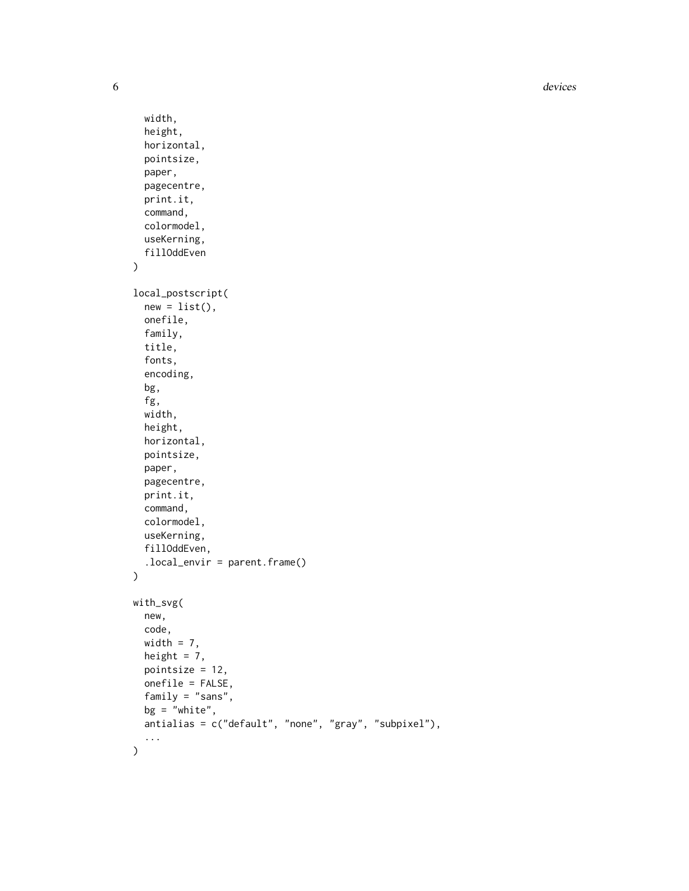**6** devices **devices devices devices devices devices devices** 

```
width,
 height,
 horizontal,
 pointsize,
 paper,
 pagecentre,
 print.it,
  command,
  colormodel,
 useKerning,
  fillOddEven
\mathcal{L}local_postscript(
 new = list(),
  onefile,
  family,
  title,
  fonts,
  encoding,
  bg,
  fg,
  width,
  height,
 horizontal,
 pointsize,
 paper,
 pagecentre,
 print.it,
 command,
  colormodel,
 useKerning,
  fillOddEven,
  .local_envir = parent.frame()
\mathcal{L}with_svg(
 new,
  code,
 width = 7,height = 7,
 pointsize = 12,
 onefile = FALSE,
  family = "sans",
 bg = "white",antialias = c("default", "none", "gray", "subpixel"),
  ...
\mathcal{L}
```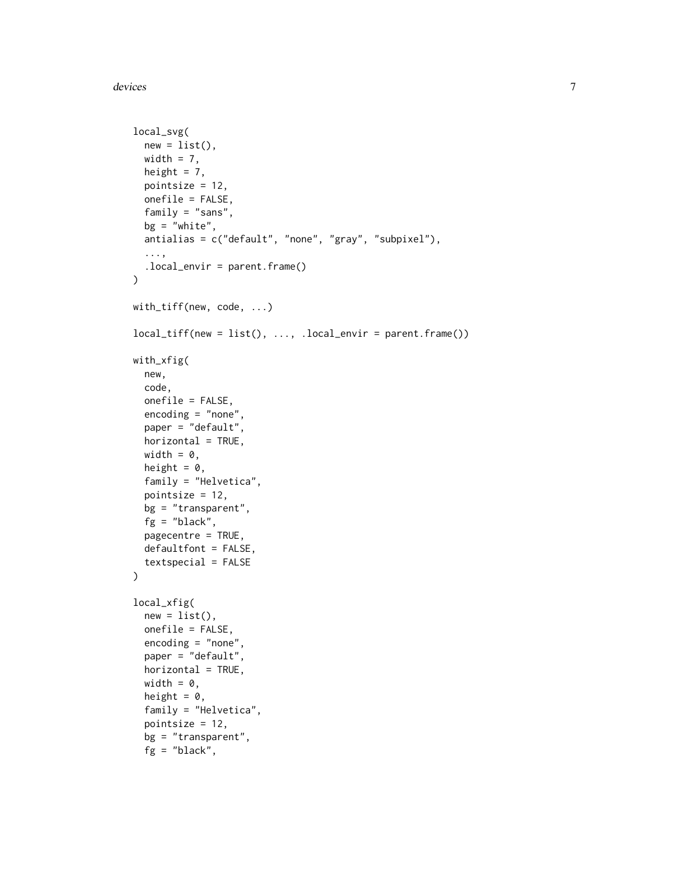devices **7** and 2000 methods and 2000 methods are considered as  $7\,$ 

```
local_svg(
 new = list(),
 width = 7,height = 7,
 pointsize = 12,
 onefile = FALSE,
  family = "sans",
 bg = "white",antialias = c("default", "none", "gray", "subpixel"),
  ...,
  .local_envir = parent.frame()
)
with_tiff(new, code, ...)
local\_tiff(new = list(), ..., local\_envir = parent-frame())with_xfig(
  new,
  code,
  onefile = FALSE,
  encoding = "none",
  paper = "default",
  horizontal = TRUE,
 width = \theta,
  height = 0,
  family = "Helvetica",
  pointsize = 12,
 bg = "transparent",
  fg = "black",
  pagecentre = TRUE,
  defaultfont = FALSE,textspecial = FALSE
\mathcal{L}local_xfig(
  new = list(),
  onefile = FALSE,
  encoding = "none",
  paper = "default",
  horizontal = TRUE,
 width = \theta,
  height = 0,
  family = "Helvetica",
  pointsize = 12,
  bg = "transparent",
  fg = "black",
```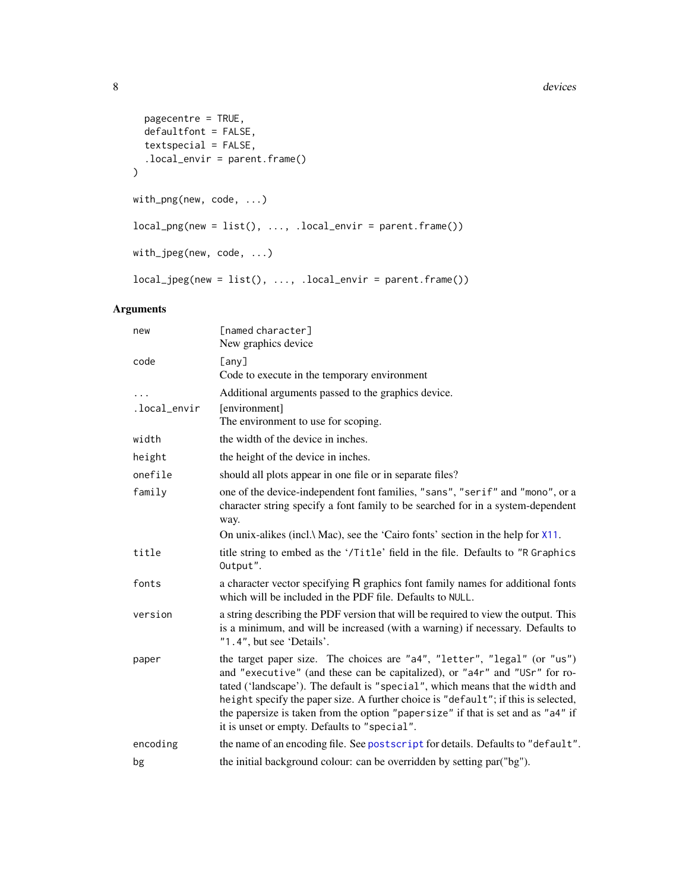#### 8 devices and the contract of the contract of the contract of the contract of the contract of the contract of the contract of the contract of the contract of the contract of the contract of the contract of the contract of

```
pagecentre = TRUE,
 defaultfont = FALSE,
 textspecial = FALSE,
  .local_envir = parent.frame()
\mathcal{L}with_png(new, code, ...)
local_png(new = list(), ..., .local_envir = parent.frame())
with_jpeg(new, code, ...)
local_jpeg(new = list(), ..., .local_envir = parent.frame())
```
### Arguments

| new          | [named character]<br>New graphics device                                                                                                                                                                                                                                                                                                                                                                                                                          |
|--------------|-------------------------------------------------------------------------------------------------------------------------------------------------------------------------------------------------------------------------------------------------------------------------------------------------------------------------------------------------------------------------------------------------------------------------------------------------------------------|
| code         | [any]<br>Code to execute in the temporary environment                                                                                                                                                                                                                                                                                                                                                                                                             |
|              | Additional arguments passed to the graphics device.                                                                                                                                                                                                                                                                                                                                                                                                               |
| .local_envir | [environment]<br>The environment to use for scoping.                                                                                                                                                                                                                                                                                                                                                                                                              |
| width        | the width of the device in inches.                                                                                                                                                                                                                                                                                                                                                                                                                                |
| height       | the height of the device in inches.                                                                                                                                                                                                                                                                                                                                                                                                                               |
| onefile      | should all plots appear in one file or in separate files?                                                                                                                                                                                                                                                                                                                                                                                                         |
| family       | one of the device-independent font families, "sans", "serif" and "mono", or a<br>character string specify a font family to be searched for in a system-dependent<br>way.                                                                                                                                                                                                                                                                                          |
|              | On unix-alikes (incl.\ Mac), see the 'Cairo fonts' section in the help for $X11$ .                                                                                                                                                                                                                                                                                                                                                                                |
| title        | title string to embed as the '/Title' field in the file. Defaults to "R Graphics<br>Output".                                                                                                                                                                                                                                                                                                                                                                      |
| fonts        | a character vector specifying R graphics font family names for additional fonts<br>which will be included in the PDF file. Defaults to NULL.                                                                                                                                                                                                                                                                                                                      |
| version      | a string describing the PDF version that will be required to view the output. This<br>is a minimum, and will be increased (with a warning) if necessary. Defaults to<br>"1.4", but see 'Details'.                                                                                                                                                                                                                                                                 |
| paper        | the target paper size. The choices are "a4", "letter", "legal" (or "us")<br>and "executive" (and these can be capitalized), or "a4r" and "USr" for ro-<br>tated ('landscape'). The default is "special", which means that the width and<br>height specify the paper size. A further choice is "default"; if this is selected,<br>the papersize is taken from the option "papersize" if that is set and as "a4" if<br>it is unset or empty. Defaults to "special". |
| encoding     | the name of an encoding file. See postscript for details. Defaults to "default".                                                                                                                                                                                                                                                                                                                                                                                  |
| bg           | the initial background colour: can be overridden by setting par("bg").                                                                                                                                                                                                                                                                                                                                                                                            |

<span id="page-7-0"></span>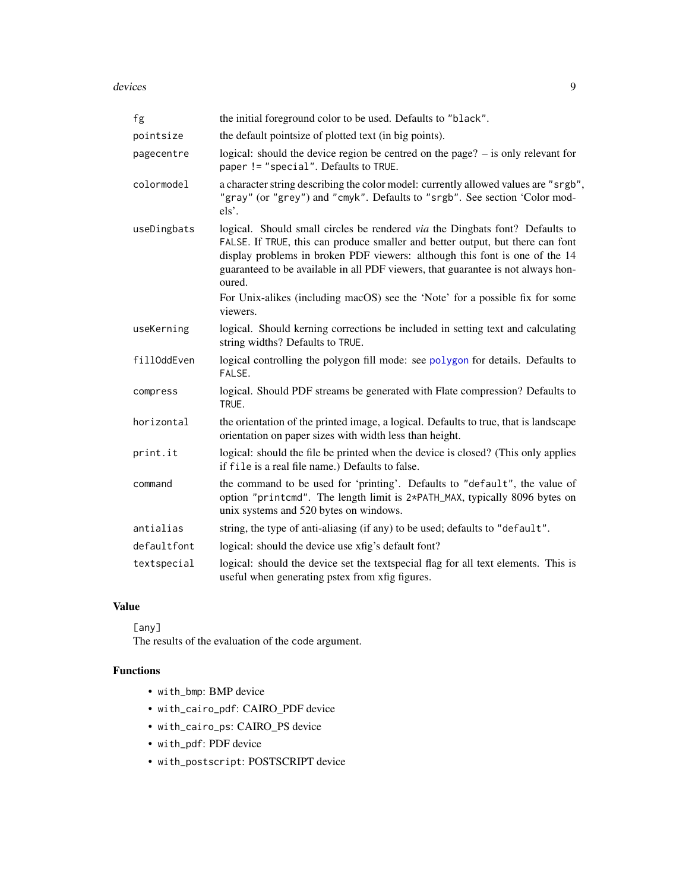<span id="page-8-0"></span>devices **9** 

| fg          | the initial foreground color to be used. Defaults to "black".                                                                                                                                                                                                                                                                                                                                                               |
|-------------|-----------------------------------------------------------------------------------------------------------------------------------------------------------------------------------------------------------------------------------------------------------------------------------------------------------------------------------------------------------------------------------------------------------------------------|
| pointsize   | the default pointsize of plotted text (in big points).                                                                                                                                                                                                                                                                                                                                                                      |
| pagecentre  | logical: should the device region be centred on the page? $-$ is only relevant for<br>paper != "special". Defaults to TRUE.                                                                                                                                                                                                                                                                                                 |
| colormodel  | a character string describing the color model: currently allowed values are "srgb",<br>"gray" (or "grey") and "cmyk". Defaults to "srgb". See section 'Color mod-<br>els'.                                                                                                                                                                                                                                                  |
| useDingbats | logical. Should small circles be rendered via the Dingbats font? Defaults to<br>FALSE. If TRUE, this can produce smaller and better output, but there can font<br>display problems in broken PDF viewers: although this font is one of the 14<br>guaranteed to be available in all PDF viewers, that guarantee is not always hon-<br>oured.<br>For Unix-alikes (including macOS) see the 'Note' for a possible fix for some |
|             | viewers.                                                                                                                                                                                                                                                                                                                                                                                                                    |
| useKerning  | logical. Should kerning corrections be included in setting text and calculating<br>string widths? Defaults to TRUE.                                                                                                                                                                                                                                                                                                         |
| fillOddEven | logical controlling the polygon fill mode: see polygon for details. Defaults to<br>FALSE.                                                                                                                                                                                                                                                                                                                                   |
| compress    | logical. Should PDF streams be generated with Flate compression? Defaults to<br>TRUE.                                                                                                                                                                                                                                                                                                                                       |
| horizontal  | the orientation of the printed image, a logical. Defaults to true, that is landscape<br>orientation on paper sizes with width less than height.                                                                                                                                                                                                                                                                             |
| print.it    | logical: should the file be printed when the device is closed? (This only applies<br>if file is a real file name.) Defaults to false.                                                                                                                                                                                                                                                                                       |
| command     | the command to be used for 'printing'. Defaults to "default", the value of<br>option "printcmd". The length limit is 2*PATH_MAX, typically 8096 bytes on<br>unix systems and 520 bytes on windows.                                                                                                                                                                                                                          |
| antialias   | string, the type of anti-aliasing (if any) to be used; defaults to "default".                                                                                                                                                                                                                                                                                                                                               |
| defaultfont | logical: should the device use xfig's default font?                                                                                                                                                                                                                                                                                                                                                                         |
| textspecial | logical: should the device set the textspecial flag for all text elements. This is<br>useful when generating pstex from xfig figures.                                                                                                                                                                                                                                                                                       |

### Value

[any]

The results of the evaluation of the code argument.

### Functions

- with\_bmp: BMP device
- with\_cairo\_pdf: CAIRO\_PDF device
- with\_cairo\_ps: CAIRO\_PS device
- with\_pdf: PDF device
- with\_postscript: POSTSCRIPT device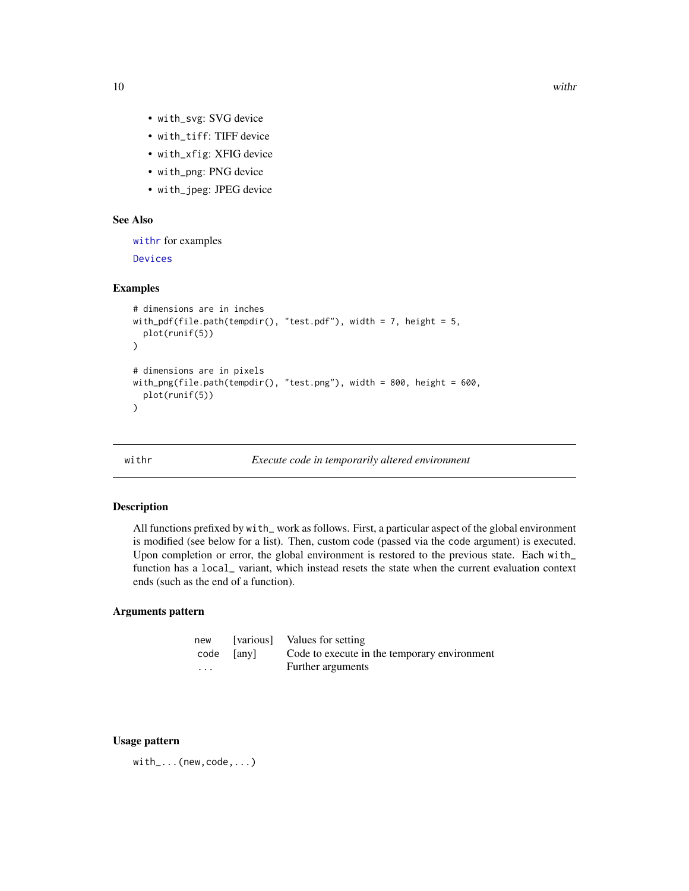- <span id="page-9-0"></span>• with\_svg: SVG device
- with\_tiff: TIFF device
- with\_xfig: XFIG device
- with\_png: PNG device
- with\_jpeg: JPEG device

### See Also

[withr](#page-9-1) for examples

[Devices](#page-0-0)

#### Examples

```
# dimensions are in inches
with_pdf(file.path(tempdir(), "test.pdf"), width = 7, height = 5,
  plot(runif(5))
)
# dimensions are in pixels
with_png(file.path(tempdir(), "test.png"), width = 800, height = 600,
  plot(runif(5))
\overline{\phantom{a}}
```
<span id="page-9-1"></span>

withr *Execute code in temporarily altered environment*

#### Description

All functions prefixed by with\_ work as follows. First, a particular aspect of the global environment is modified (see below for a list). Then, custom code (passed via the code argument) is executed. Upon completion or error, the global environment is restored to the previous state. Each with\_ function has a local\_ variant, which instead resets the state when the current evaluation context ends (such as the end of a function).

### Arguments pattern

| new |            | [various] Values for setting                 |
|-----|------------|----------------------------------------------|
|     | code [any] | Code to execute in the temporary environment |
| .   |            | Further arguments                            |

#### Usage pattern

with\_...(new,code,...)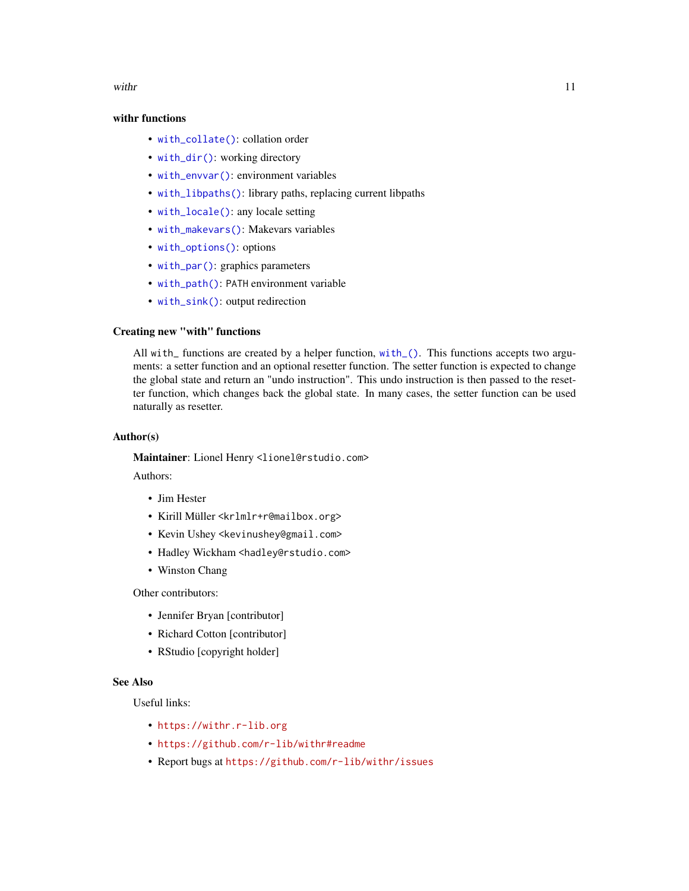<span id="page-10-0"></span>with the contract of the contract of the contract of the contract of the contract of the contract of the contract of the contract of the contract of the contract of the contract of the contract of the contract of the contr

### withr functions

- [with\\_collate\(\)](#page-11-1): collation order
- [with\\_dir\(\)](#page-14-1): working directory
- [with\\_envvar\(\)](#page-15-1): environment variables
- [with\\_libpaths\(\)](#page-18-1): library paths, replacing current libpaths
- [with\\_locale\(\)](#page-19-1): any locale setting
- [with\\_makevars\(\)](#page-21-1): Makevars variables
- [with\\_options\(\)](#page-22-1): options
- [with\\_par\(\)](#page-25-1): graphics parameters
- [with\\_path\(\)](#page-27-1): PATH environment variable
- [with\\_sink\(\)](#page-30-1): output redirection

#### Creating new "with" functions

All with\_ functions are created by a helper function, [with\\_\(\)](#page-0-0). This functions accepts two arguments: a setter function and an optional resetter function. The setter function is expected to change the global state and return an "undo instruction". This undo instruction is then passed to the resetter function, which changes back the global state. In many cases, the setter function can be used naturally as resetter.

#### Author(s)

Maintainer: Lionel Henry <lionel@rstudio.com>

Authors:

- Jim Hester
- Kirill Müller <krlmlr+r@mailbox.org>
- Kevin Ushey <kevinushey@gmail.com>
- Hadley Wickham <hadley@rstudio.com>
- Winston Chang

Other contributors:

- Jennifer Bryan [contributor]
- Richard Cotton [contributor]
- RStudio [copyright holder]

#### See Also

Useful links:

- <https://withr.r-lib.org>
- <https://github.com/r-lib/withr#readme>
- Report bugs at <https://github.com/r-lib/withr/issues>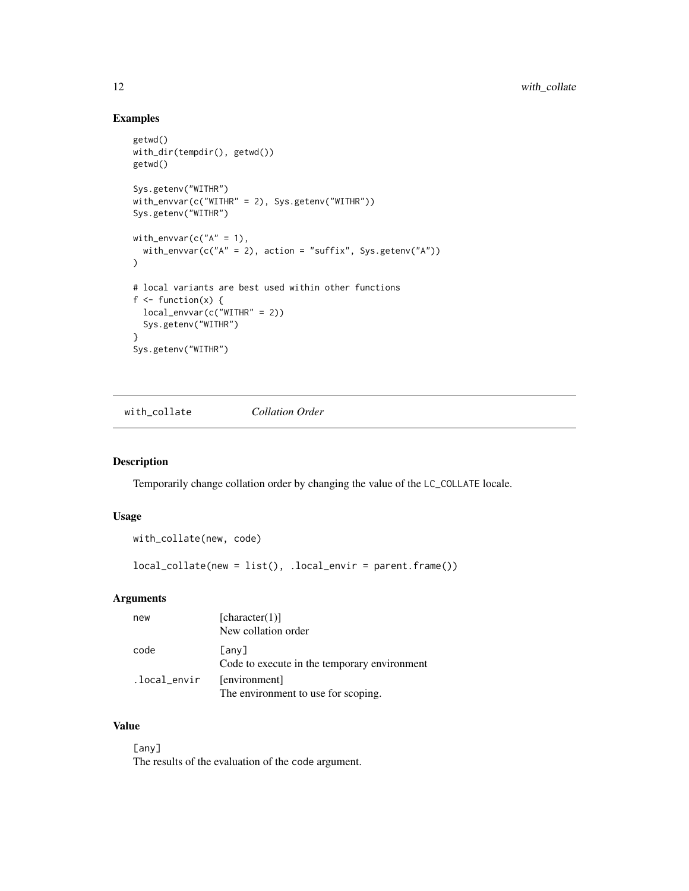### Examples

```
getwd()
with_dir(tempdir(), getwd())
getwd()
Sys.getenv("WITHR")
with_envvar(c("WITHR" = 2), Sys.getenv("WITHR"))
Sys.getenv("WITHR")
with_envvar(c("A" = 1),
  with_envvar(c("A" = 2), action = "suffix", Sys.getenv("A"))
\mathcal{L}# local variants are best used within other functions
f \leftarrow function(x) {
 local_envvar(c("WITHR" = 2))
 Sys.getenv("WITHR")
}
Sys.getenv("WITHR")
```
<span id="page-11-1"></span>with\_collate *Collation Order*

### Description

Temporarily change collation order by changing the value of the LC\_COLLATE locale.

#### Usage

```
with_collate(new, code)
local_collate(new = list(), .local_envir = parent.frame())
```
### Arguments

| new          | [character(1)]                                              |
|--------------|-------------------------------------------------------------|
|              | New collation order                                         |
| code         | $[$ any $]$<br>Code to execute in the temporary environment |
| .local_envir | [environment]<br>The environment to use for scoping.        |

### Value

[any] The results of the evaluation of the code argument.

<span id="page-11-0"></span>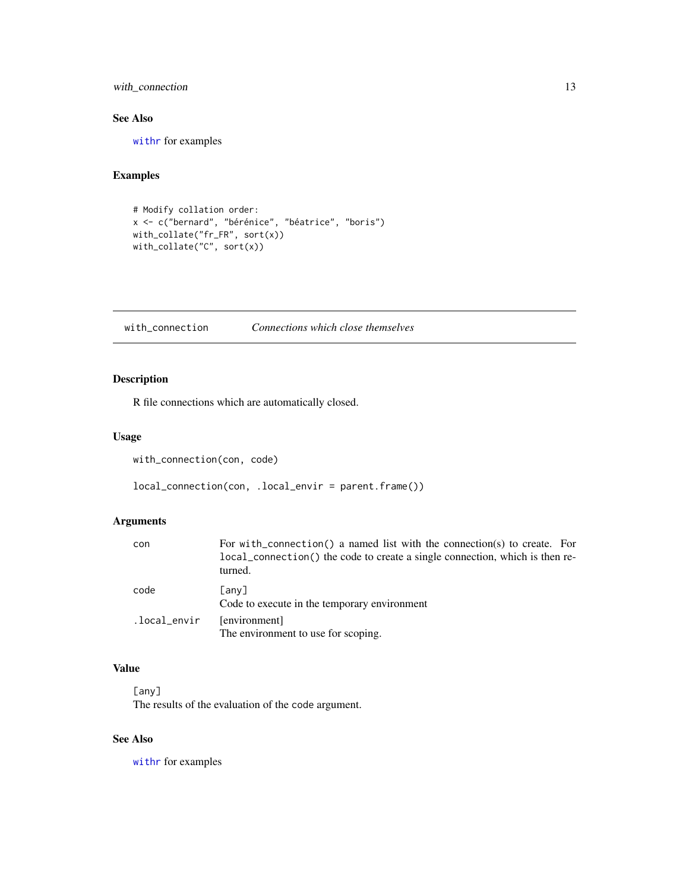<span id="page-12-0"></span>with\_connection 13

### See Also

[withr](#page-9-1) for examples

### Examples

```
# Modify collation order:
x <- c("bernard", "bérénice", "béatrice", "boris")
with_collate("fr_FR", sort(x))
with_collate("C", sort(x))
```
with\_connection *Connections which close themselves*

### Description

R file connections which are automatically closed.

### Usage

```
with_connection(con, code)
```
local\_connection(con, .local\_envir = parent.frame())

### Arguments

| con          | For with connection () a named list with the connection (s) to create. For<br>local_connection() the code to create a single connection, which is then re-<br>turned. |
|--------------|-----------------------------------------------------------------------------------------------------------------------------------------------------------------------|
| code         | [any]<br>Code to execute in the temporary environment                                                                                                                 |
| .local_envir | [environment]<br>The environment to use for scoping.                                                                                                                  |

### Value

[any] The results of the evaluation of the code argument.

### See Also

with r for examples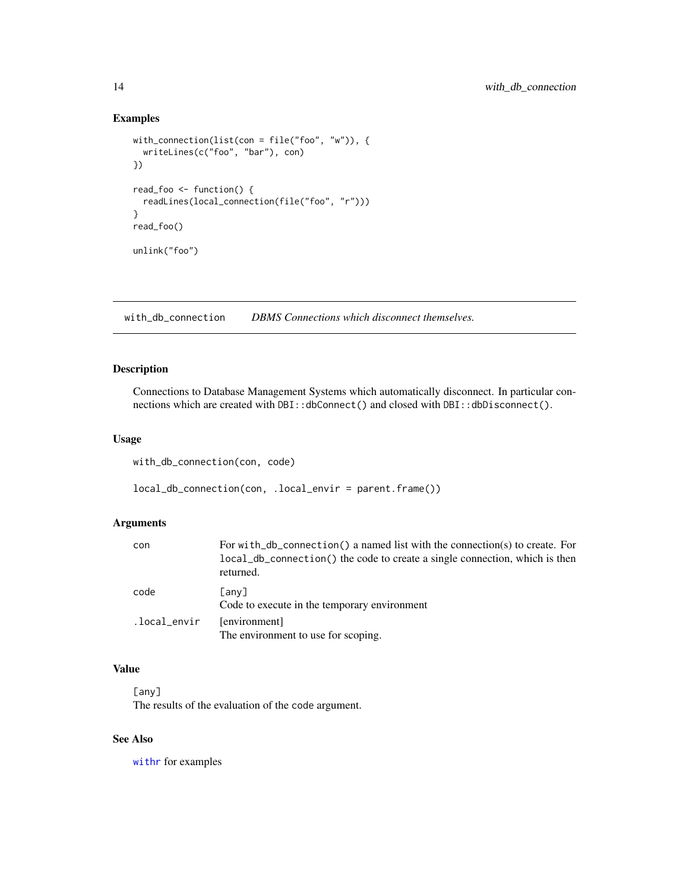### <span id="page-13-0"></span>Examples

```
with_connection(list(con = file("foo", "w")), {
  writeLines(c("foo", "bar"), con)
})
read_foo <- function() {
  readLines(local_connection(file("foo", "r")))
}
read_foo()
unlink("foo")
```
with\_db\_connection *DBMS Connections which disconnect themselves.*

### Description

Connections to Database Management Systems which automatically disconnect. In particular connections which are created with DBI::dbConnect() and closed with DBI::dbDisconnect().

### Usage

with\_db\_connection(con, code)

local\_db\_connection(con, .local\_envir = parent.frame())

#### Arguments

| con          | For with db connection () a named list with the connection (s) to create. For<br>local_db_connection() the code to create a single connection, which is then<br>returned. |
|--------------|---------------------------------------------------------------------------------------------------------------------------------------------------------------------------|
| code         | [any]<br>Code to execute in the temporary environment                                                                                                                     |
| .local_envir | [environment]<br>The environment to use for scoping.                                                                                                                      |

### Value

[any] The results of the evaluation of the code argument.

### See Also

[withr](#page-9-1) for examples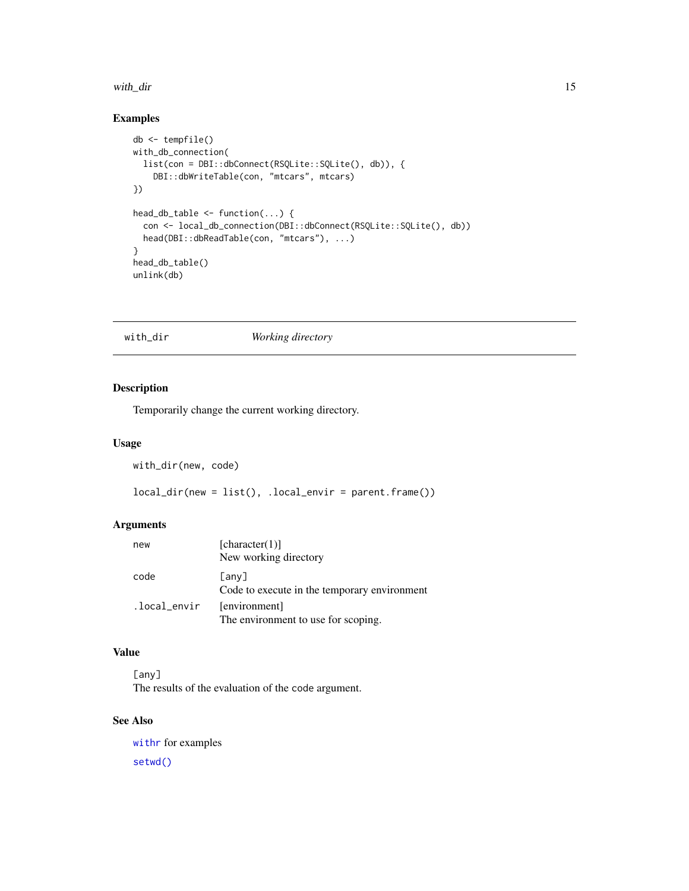#### <span id="page-14-0"></span>with\_dir 15

### Examples

```
db <- tempfile()
with_db_connection(
  list(con = DBI::dbConnect(RSQLite::SQLite(), db)), {
    DBI::dbWriteTable(con, "mtcars", mtcars)
})
head_db_table <- function(...) {
  con <- local_db_connection(DBI::dbConnect(RSQLite::SQLite(), db))
  head(DBI::dbReadTable(con, "mtcars"), ...)
}
head_db_table()
unlink(db)
```
#### <span id="page-14-1"></span>with\_dir *Working directory*

### Description

Temporarily change the current working directory.

#### Usage

with\_dir(new, code)

 $local\_dir(new = list(), .local\_envir = parent-frame())$ 

### Arguments

| new          | [character(1)]<br>New working directory               |
|--------------|-------------------------------------------------------|
| code         | [any]<br>Code to execute in the temporary environment |
| .local_envir | [environment]<br>The environment to use for scoping.  |

### Value

[any] The results of the evaluation of the code argument.

### See Also

[withr](#page-9-1) for examples [setwd\(\)](#page-0-0)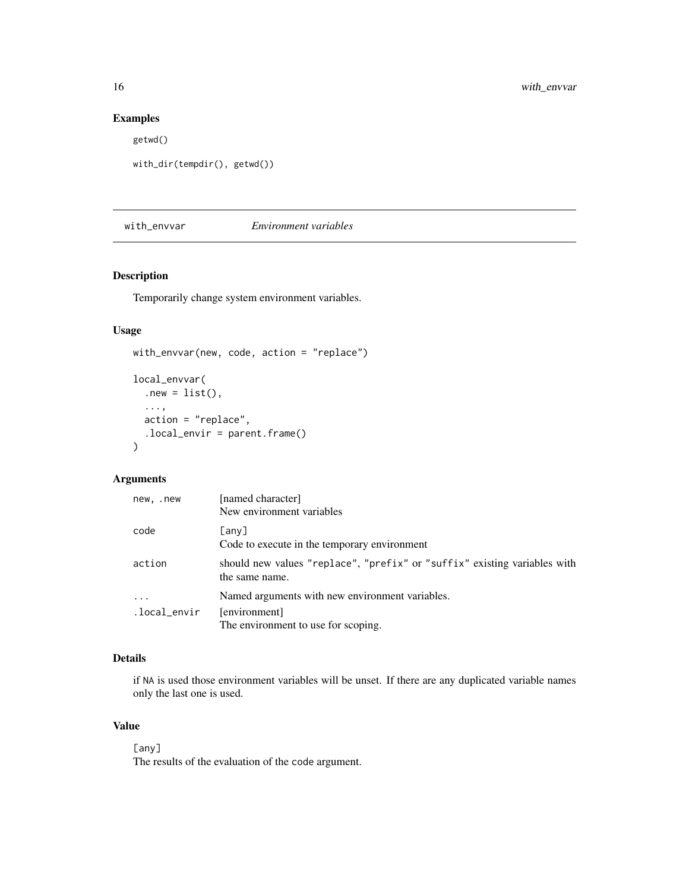### Examples

getwd()

```
with_dir(tempdir(), getwd())
```
<span id="page-15-1"></span>with\_envvar *Environment variables*

### Description

Temporarily change system environment variables.

### Usage

```
with_envvar(new, code, action = "replace")
local_envvar(
  .new = list(),
  ...,
  action = "replace",
  .local_envir = parent.frame()
\overline{\phantom{a}}
```
### Arguments

| new, .new         | [named character]<br>New environment variables                                                          |
|-------------------|---------------------------------------------------------------------------------------------------------|
| code              | [any]<br>Code to execute in the temporary environment                                                   |
| action            | should new values "replace", "prefix" or "suffix" existing variables with<br>the same name.             |
| .<br>.local_envir | Named arguments with new environment variables.<br>[environment]<br>The environment to use for scoping. |

### Details

if NA is used those environment variables will be unset. If there are any duplicated variable names only the last one is used.

### Value

[any] The results of the evaluation of the code argument.

<span id="page-15-0"></span>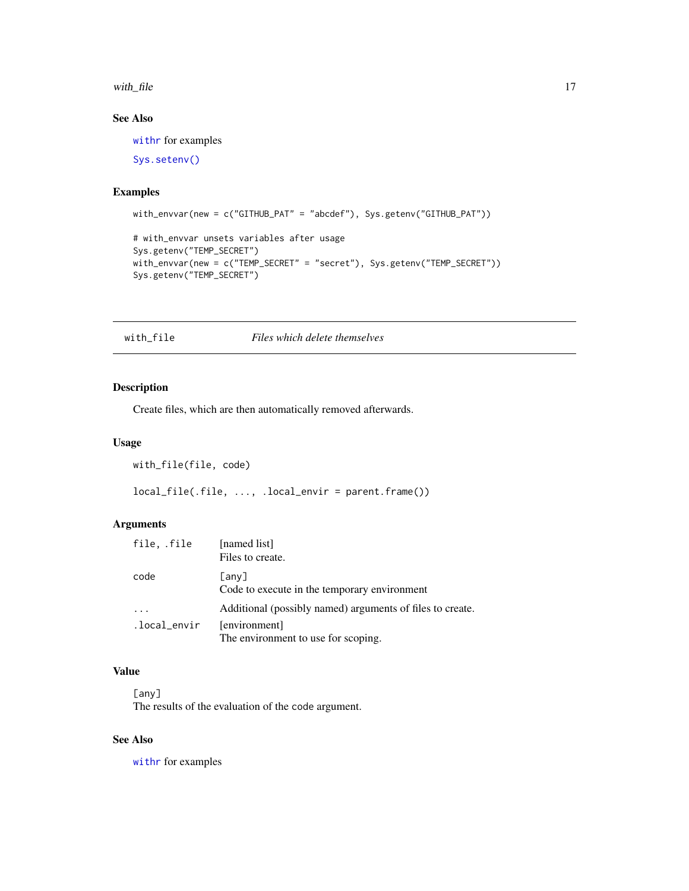#### <span id="page-16-0"></span>with  $_{\text{file}}$  17

### See Also

[withr](#page-9-1) for examples

[Sys.setenv\(\)](#page-0-0)

### Examples

```
with_envvar(new = c("GITHUB_PAT" = "abcdef"), Sys.getenv("GITHUB_PAT"))
```

```
# with_envvar unsets variables after usage
Sys.getenv("TEMP_SECRET")
with_envvar(new = c("TEMP_SECRET" = "secret"), Sys.getenv("TEMP_SECRET"))
Sys.getenv("TEMP_SECRET")
```
### Description

Create files, which are then automatically removed afterwards.

#### Usage

```
with_file(file, code)
```
local\_file(.file, ..., .local\_envir = parent.frame())

### Arguments

| file. .file  | [named list]<br>Files to create.                          |
|--------------|-----------------------------------------------------------|
| code         | [any]<br>Code to execute in the temporary environment     |
|              | Additional (possibly named) arguments of files to create. |
| .local_envir | [environment]<br>The environment to use for scoping.      |

### Value

[any] The results of the evaluation of the code argument.

#### See Also

with r for examples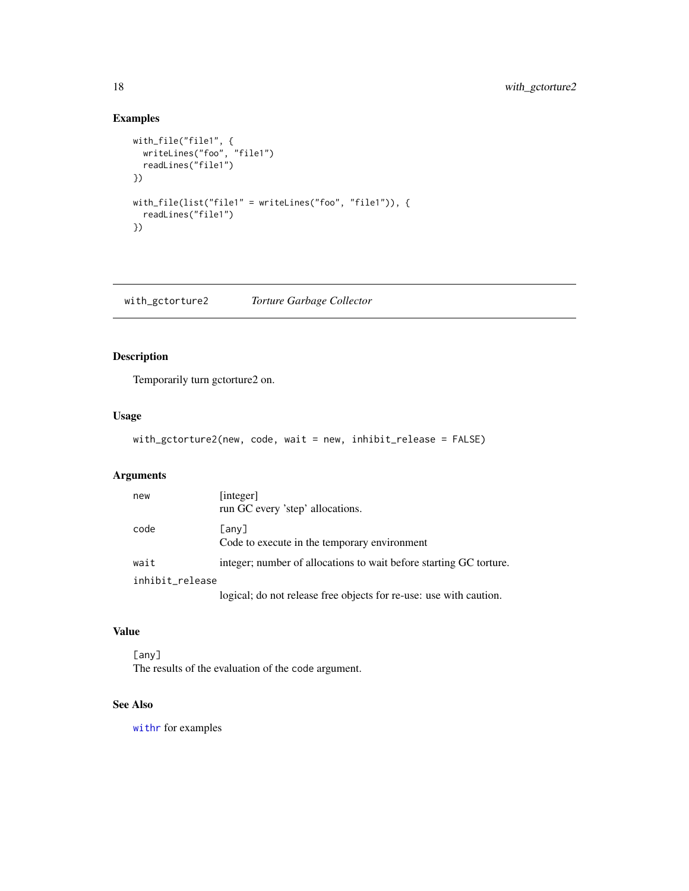### Examples

```
with_file("file1", {
  writeLines("foo", "file1")
  readLines("file1")
})
with_file(list("file1" = writeLines("foo", "file1")), {
  readLines("file1")
})
```
with\_gctorture2 *Torture Garbage Collector*

### Description

Temporarily turn gctorture2 on.

### Usage

```
with_gctorture2(new, code, wait = new, inhibit_release = FALSE)
```
### Arguments

| new             | [integer]<br>run GC every 'step' allocations.                      |  |
|-----------------|--------------------------------------------------------------------|--|
| code            | $[$ any $]$<br>Code to execute in the temporary environment        |  |
| wait            | integer; number of allocations to wait before starting GC torture. |  |
| inhibit_release |                                                                    |  |
|                 | logical; do not release free objects for re-use: use with caution. |  |

### Value

[any] The results of the evaluation of the code argument.

### See Also

[withr](#page-9-1) for examples

<span id="page-17-0"></span>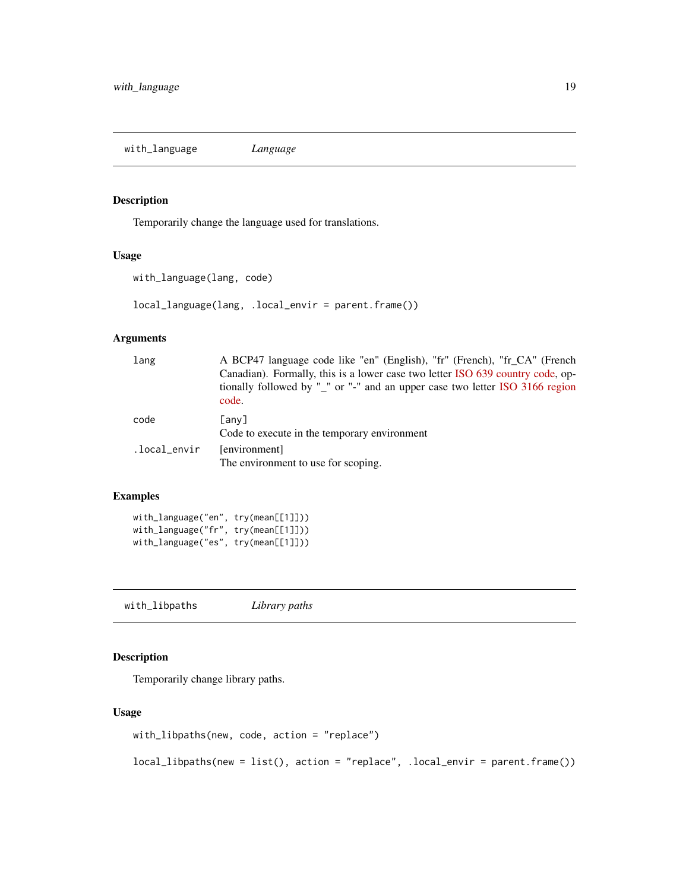<span id="page-18-0"></span>with\_language *Language*

#### Description

Temporarily change the language used for translations.

### Usage

```
with_language(lang, code)
```
local\_language(lang, .local\_envir = parent.frame())

#### Arguments

| lang         | A BCP47 language code like "en" (English), "fr" (French), "fr_CA" (French<br>Canadian). Formally, this is a lower case two letter ISO 639 country code, op-<br>tionally followed by "_" or "-" and an upper case two letter ISO 3166 region<br>code. |
|--------------|------------------------------------------------------------------------------------------------------------------------------------------------------------------------------------------------------------------------------------------------------|
| code         | [any]<br>Code to execute in the temporary environment                                                                                                                                                                                                |
| .local_envir | [environment]<br>The environment to use for scoping.                                                                                                                                                                                                 |

### Examples

```
with_language("en", try(mean[[1]]))
with_language("fr", try(mean[[1]]))
with_language("es", try(mean[[1]]))
```
<span id="page-18-1"></span>with\_libpaths *Library paths*

### Description

Temporarily change library paths.

#### Usage

with\_libpaths(new, code, action = "replace")

local\_libpaths(new = list(), action = "replace", .local\_envir = parent.frame())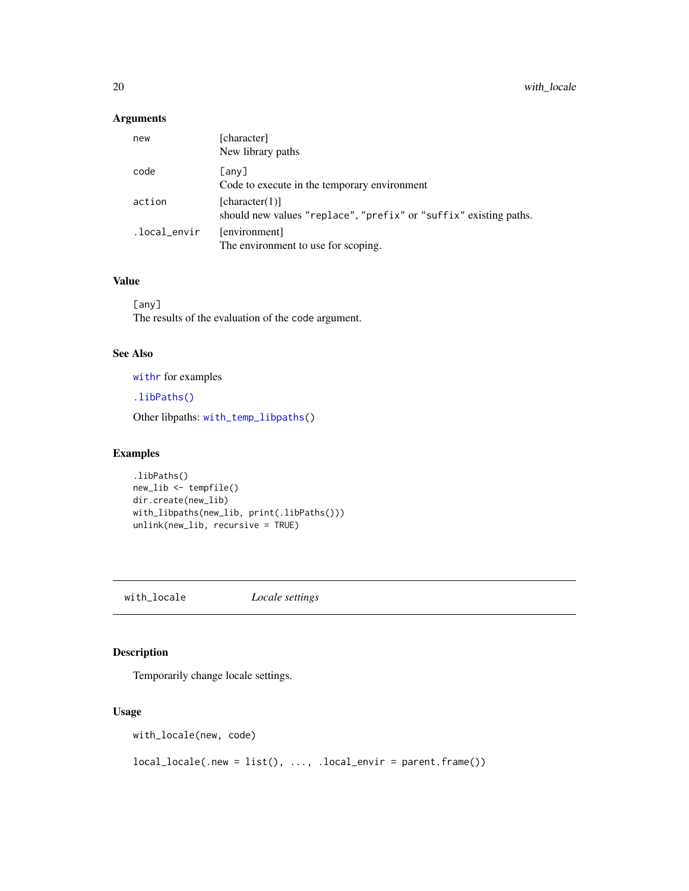### <span id="page-19-0"></span>Arguments

| new          | [character]<br>New library paths                                                    |
|--------------|-------------------------------------------------------------------------------------|
| code         | [any]<br>Code to execute in the temporary environment                               |
| action       | [character(1)]<br>should new values "replace", "prefix" or "suffix" existing paths. |
| .local_envir | [environment]<br>The environment to use for scoping.                                |

### Value

[any] The results of the evaluation of the code argument.

### See Also

[withr](#page-9-1) for examples

[.libPaths\(\)](#page-0-0)

Other libpaths: [with\\_temp\\_libpaths\(](#page-33-1))

### Examples

```
.libPaths()
new_lib <- tempfile()
dir.create(new_lib)
with_libpaths(new_lib, print(.libPaths()))
unlink(new_lib, recursive = TRUE)
```
<span id="page-19-1"></span>with\_locale *Locale settings*

### Description

Temporarily change locale settings.

### Usage

with\_locale(new, code)

 $local\_local( . new = list(), ..., local\_envir = parent.find())$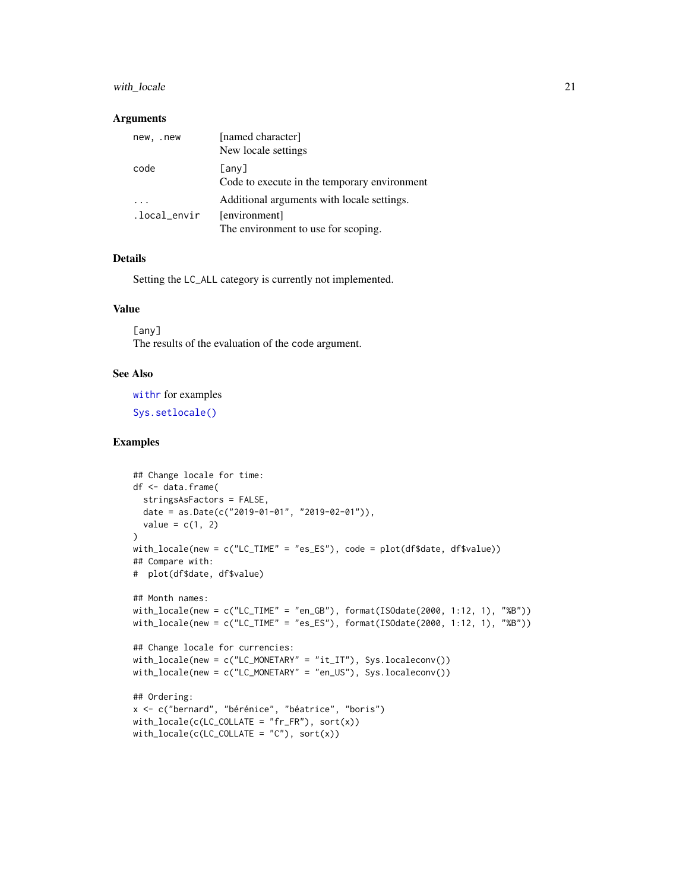#### <span id="page-20-0"></span>with\_locale 21

#### Arguments

| new, .new    | [named character]<br>New locale settings                    |
|--------------|-------------------------------------------------------------|
| code         | $[$ any $]$<br>Code to execute in the temporary environment |
|              | Additional arguments with locale settings.                  |
| .local_envir | [environment]                                               |
|              | The environment to use for scoping.                         |

### Details

Setting the LC\_ALL category is currently not implemented.

### Value

[any] The results of the evaluation of the code argument.

#### See Also

with r for examples

[Sys.setlocale\(\)](#page-0-0)

#### Examples

```
## Change locale for time:
df <- data.frame(
 stringsAsFactors = FALSE,
 date = as.Date(c("2019-01-01", "2019-02-01")),
 value = c(1, 2)\lambdawith_locale(new = c("LC_TIME" = "es_ES"), code = plot(df6date, df$value))## Compare with:
# plot(df$date, df$value)
## Month names:
with_locale(new = c("LC_TIME" = "en_GB"), format(ISOdate(2000, 1:12, 1), "%B"))
with_locale(new = c("LC_TIME" = "es_ES"), format(ISOdate(2000, 1:12, 1), "%B"))
## Change locale for currencies:
with_locale(new = c("LC_MONETARY" = "it_IT"), Sys.localeconv())
with_locale(new = c("LC_MONETARY" = "en_US"), Sys.localeconv())
## Ordering:
x <- c("bernard", "bérénice", "béatrice", "boris")
with\_ locale(c(LC\_COLLATE = "fr_FR"), sort(x))with\_ locale(c(LC\_COLLATE = "C"), sort(x))
```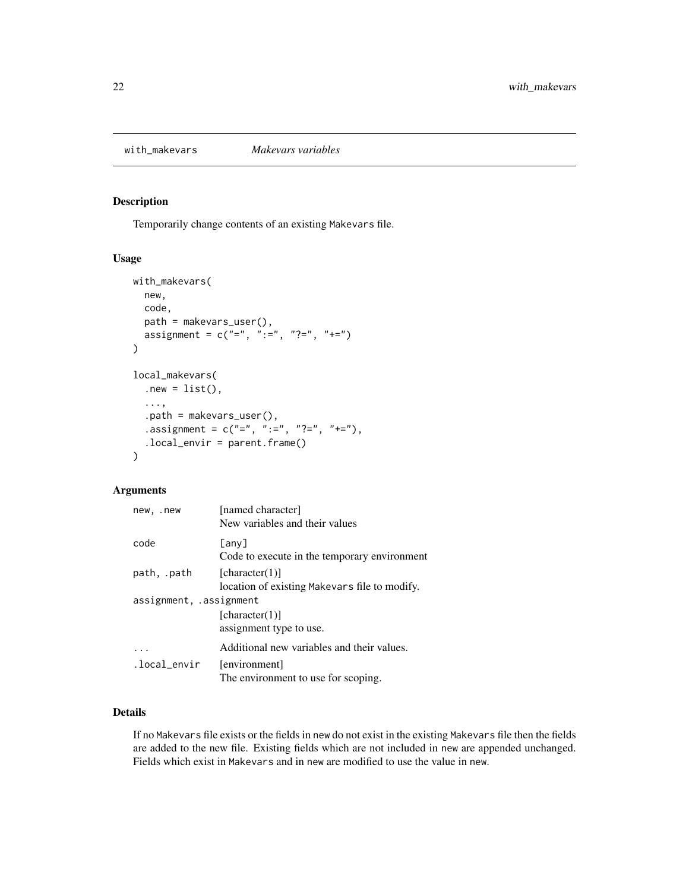<span id="page-21-1"></span><span id="page-21-0"></span>

### Description

Temporarily change contents of an existing Makevars file.

### Usage

```
with_makevars(
  new,
  code,
 path = makevars_user(),
  assignment = c("="", " :=", "?="", " +="))
local_makevars(
  .new = list(),
  ...,
  .path = makevars_user(),
  .assignment = c("="", ":=", "?="", "+="),
  .local_envir = parent.frame()
)
```
### Arguments

| new, .new               | [named character]<br>New variables and their values             |
|-------------------------|-----------------------------------------------------------------|
| code                    | $[$ any $]$<br>Code to execute in the temporary environment     |
| path, .path             | [character(1)]<br>location of existing Makevars file to modify. |
| assignment, .assignment | [character(1)]<br>assignment type to use.                       |
|                         | Additional new variables and their values.                      |
| .local_envir            | [environment]<br>The environment to use for scoping.            |

### Details

If no Makevars file exists or the fields in new do not exist in the existing Makevars file then the fields are added to the new file. Existing fields which are not included in new are appended unchanged. Fields which exist in Makevars and in new are modified to use the value in new.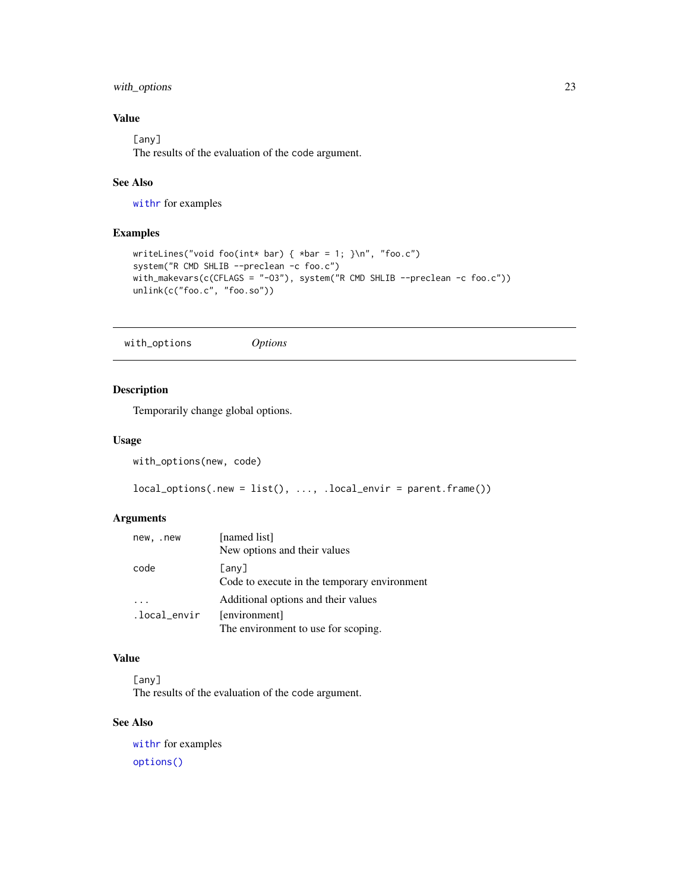### <span id="page-22-0"></span>with\_options 23

### Value

[any] The results of the evaluation of the code argument.

### See Also

[withr](#page-9-1) for examples

### Examples

```
writeLines("void foo(int* bar) { *bar = 1; }\n", "foo.c")
system("R CMD SHLIB --preclean -c foo.c")
with_makevars(c(CFLAGS = "-03"), system("R CMD SHLIB --preclean -c foo.c"))
unlink(c("foo.c", "foo.so"))
```
<span id="page-22-1"></span>with\_options *Options*

### Description

Temporarily change global options.

### Usage

```
with_options(new, code)
```

```
local_options(.new = list(), ..., .local_envir = parent.frame())
```
### Arguments

| new, .new    | [named list]<br>New options and their values                |
|--------------|-------------------------------------------------------------|
| code         | $[$ any $]$<br>Code to execute in the temporary environment |
|              | Additional options and their values                         |
| .local_envir | [environment]                                               |
|              | The environment to use for scoping.                         |

#### Value

[any] The results of the evaluation of the code argument.

### See Also

[withr](#page-9-1) for examples [options\(\)](#page-0-0)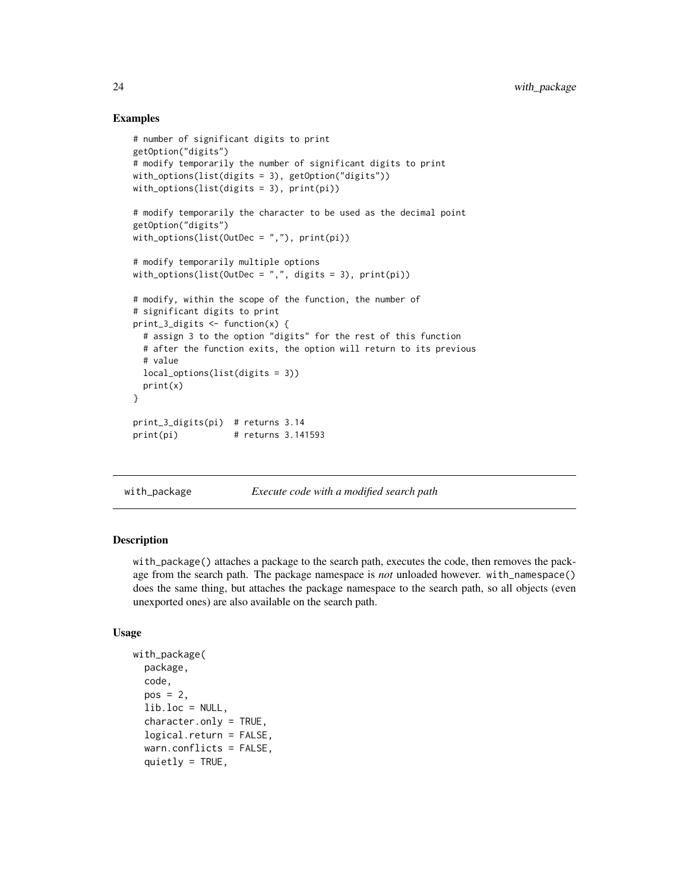### Examples

```
# number of significant digits to print
getOption("digits")
# modify temporarily the number of significant digits to print
with_options(list(digits = 3), getOption("digits"))
with_options(list(digits = 3), print(pi))
# modify temporarily the character to be used as the decimal point
getOption("digits")
with_options(list(OutDec = ","), print(pi))
# modify temporarily multiple options
with_options(list(OutDec = ",", digits = 3), print(pi))
# modify, within the scope of the function, the number of
# significant digits to print
print_3_digits <- function(x) {
  # assign 3 to the option "digits" for the rest of this function
  # after the function exits, the option will return to its previous
  # value
  local_options(list(digits = 3))
  print(x)
}
print_3_digits(pi) # returns 3.14
print(pi) # returns 3.141593
```
with\_package *Execute code with a modified search path*

#### **Description**

with\_package() attaches a package to the search path, executes the code, then removes the package from the search path. The package namespace is *not* unloaded however. with\_namespace() does the same thing, but attaches the package namespace to the search path, so all objects (even unexported ones) are also available on the search path.

```
with_package(
  package,
  code,
  pos = 2,
  lib.loc = NULL,character.only = TRUE,
  logical.return = FALSE,
  warn.conflicts = FALSE,
  quietly = TRUE,
```
<span id="page-23-0"></span>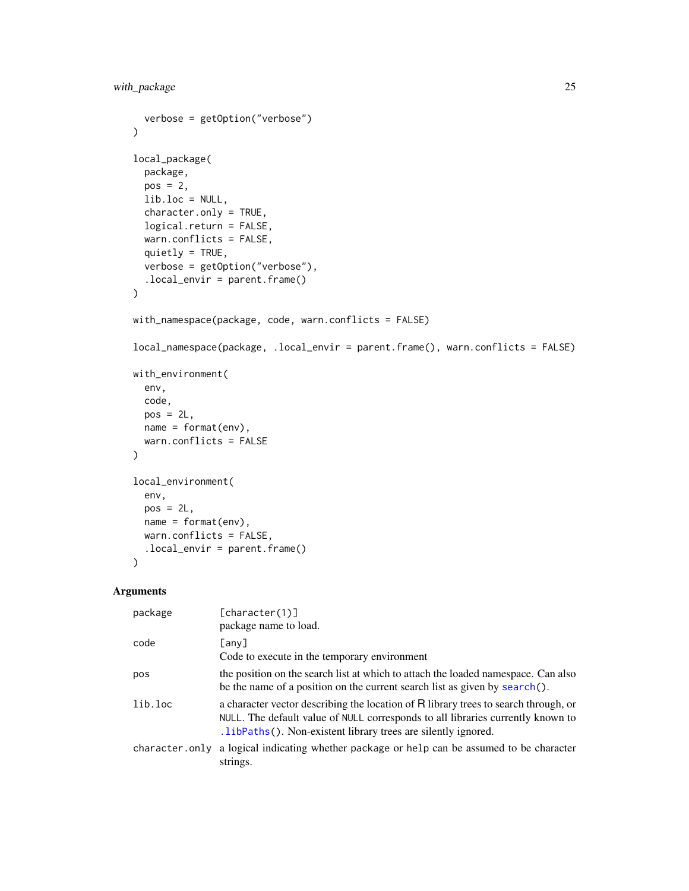```
verbose = getOption("verbose")
\mathcal{L}local_package(
 package,
 pos = 2,
 lib.loc = NULL,
  character.only = TRUE,
  logical.return = FALSE,
 warn.conflicts = FALSE,
  quietly = TRUE,
 verbose = getOption("verbose"),
  .local_envir = parent.frame()
\mathcal{L}with_namespace(package, code, warn.conflicts = FALSE)
local_namespace(package, .local_envir = parent.frame(), warn.conflicts = FALSE)
with_environment(
 env,
 code,
 pos = 2L,
 name = format(env),
 warn.conflicts = FALSE
\mathcal{L}local_environment(
  env,
 pos = 2L,
 name = format(env),
 warn.conflicts = FALSE,
  .local_envir = parent.frame()
\mathcal{L}
```
#### Arguments

| package | [character(1)]<br>package name to load.                                                                                                                                                                                                 |
|---------|-----------------------------------------------------------------------------------------------------------------------------------------------------------------------------------------------------------------------------------------|
| code    | [any]<br>Code to execute in the temporary environment                                                                                                                                                                                   |
| pos     | the position on the search list at which to attach the loaded namespace. Can also<br>be the name of a position on the current search list as given by search().                                                                         |
| lib.loc | a character vector describing the location of R library trees to search through, or<br>NULL. The default value of NULL corresponds to all libraries currently known to<br>.1ibPaths(). Non-existent library trees are silently ignored. |
|         | character only a logical indicating whether package or help can be assumed to be character<br>strings.                                                                                                                                  |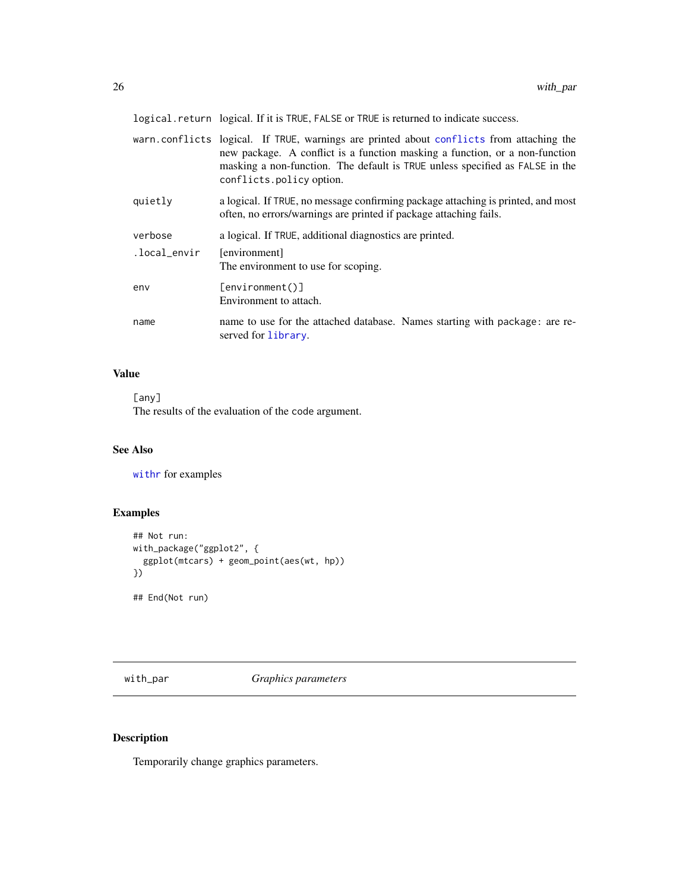<span id="page-25-0"></span>logical.return logical. If it is TRUE, FALSE or TRUE is returned to indicate success.

|              | warn.conflicts logical. If TRUE, warnings are printed about conflicts from attaching the<br>new package. A conflict is a function masking a function, or a non-function<br>masking a non-function. The default is TRUE unless specified as FALSE in the<br>conflicts.policy option. |
|--------------|-------------------------------------------------------------------------------------------------------------------------------------------------------------------------------------------------------------------------------------------------------------------------------------|
| quietly      | a logical. If TRUE, no message confirming package attaching is printed, and most<br>often, no errors/warnings are printed if package attaching fails.                                                                                                                               |
| verbose      | a logical. If TRUE, additional diagnostics are printed.                                                                                                                                                                                                                             |
| .local_envir | [environment]<br>The environment to use for scoping.                                                                                                                                                                                                                                |
| env          | $[$ environment $()$ ]<br>Environment to attach.                                                                                                                                                                                                                                    |
| name         | name to use for the attached database. Names starting with package: are re-<br>served for library.                                                                                                                                                                                  |

### Value

[any]

The results of the evaluation of the code argument.

### See Also

[withr](#page-9-1) for examples

### Examples

```
## Not run:
with_package("ggplot2", {
  ggplot(mtcars) + geom_point(aes(wt, hp))
})
## End(Not run)
```
<span id="page-25-1"></span>with\_par *Graphics parameters*

### Description

Temporarily change graphics parameters.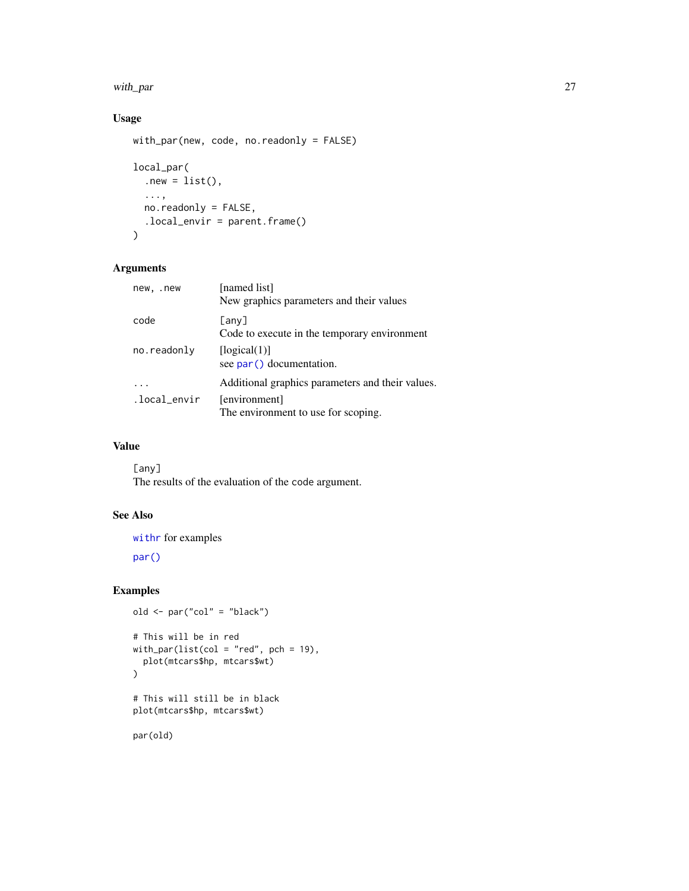#### <span id="page-26-0"></span>with\_par 27

## Usage

```
with_par(new, code, no.readonly = FALSE)
```

```
local_par(
  .new = list(),
  ...,
  no.readonly = FALSE,
  .local_envir = parent.frame()
\mathcal{L}
```
### Arguments

| new, .new    | [named list]<br>New graphics parameters and their values    |
|--------------|-------------------------------------------------------------|
| code         | $[$ any $]$<br>Code to execute in the temporary environment |
| no.readonly  | [logical(1)]<br>see par() documentation.                    |
|              | Additional graphics parameters and their values.            |
| .local_envir | [environment]<br>The environment to use for scoping.        |

### Value

[any] The results of the evaluation of the code argument.

### See Also

[withr](#page-9-1) for examples

[par\(\)](#page-0-0)

### Examples

```
old <- par("col" = "black")
# This will be in red
with_par(list(col = "red", pch = 19),
  plot(mtcars$hp, mtcars$wt)
)
# This will still be in black
plot(mtcars$hp, mtcars$wt)
```
par(old)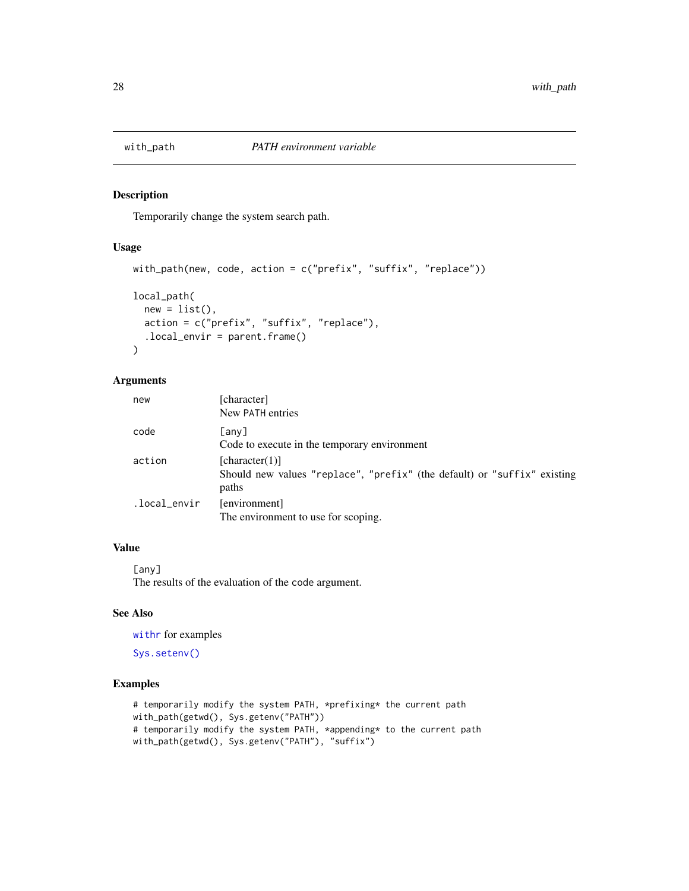<span id="page-27-1"></span><span id="page-27-0"></span>

#### Description

Temporarily change the system search path.

### Usage

```
with_path(new, code, action = c("prefix", "suffix", "replace"))
local_path(
  new = list(),
 action = c("prefix", "suffix", "replace"),
  .local_envir = parent.frame()
\mathcal{L}
```
### Arguments

| new          | [character]<br>New PATH entries                                                                     |
|--------------|-----------------------------------------------------------------------------------------------------|
| code         | [any]<br>Code to execute in the temporary environment                                               |
| action       | [character(1)]<br>Should new values "replace", "prefix" (the default) or "suffix" existing<br>paths |
| .local_envir | [environment]<br>The environment to use for scoping.                                                |

### Value

[any] The results of the evaluation of the code argument.

### See Also

[withr](#page-9-1) for examples

[Sys.setenv\(\)](#page-0-0)

### Examples

```
# temporarily modify the system PATH, *prefixing* the current path
with_path(getwd(), Sys.getenv("PATH"))
# temporarily modify the system PATH, *appending* to the current path
with_path(getwd(), Sys.getenv("PATH"), "suffix")
```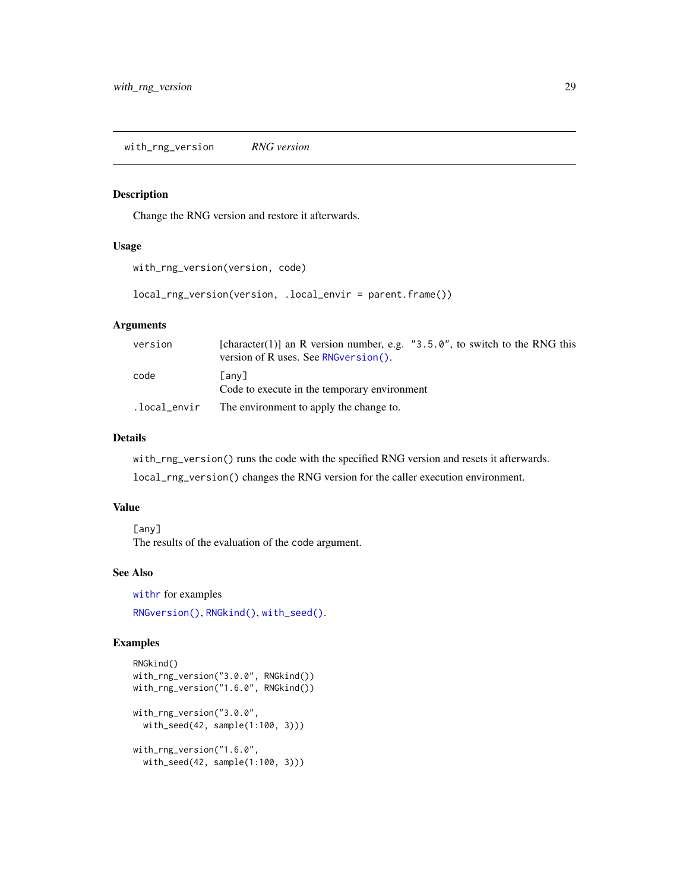<span id="page-28-0"></span>with\_rng\_version *RNG version*

### Description

Change the RNG version and restore it afterwards.

#### Usage

```
with_rng_version(version, code)
```
local\_rng\_version(version, .local\_envir = parent.frame())

### Arguments

| version | [character(1)] an R version number, e.g. "3.5.0", to switch to the RNG this<br>version of R uses. See RNG version (). |
|---------|-----------------------------------------------------------------------------------------------------------------------|
| code    | Гаnv]<br>Code to execute in the temporary environment                                                                 |
|         | . local_envir The environment to apply the change to.                                                                 |

#### Details

with\_rng\_version() runs the code with the specified RNG version and resets it afterwards.

local\_rng\_version() changes the RNG version for the caller execution environment.

### Value

[any] The results of the evaluation of the code argument.

#### See Also

[withr](#page-9-1) for examples

[RNGversion\(\)](#page-0-0), [RNGkind\(\)](#page-0-0), [with\\_seed\(\)](#page-29-1).

### Examples

```
RNGkind()
with_rng_version("3.0.0", RNGkind())
with_rng_version("1.6.0", RNGkind())
with_rng_version("3.0.0",
  with_seed(42, sample(1:100, 3)))
with_rng_version("1.6.0",
  with_seed(42, sample(1:100, 3)))
```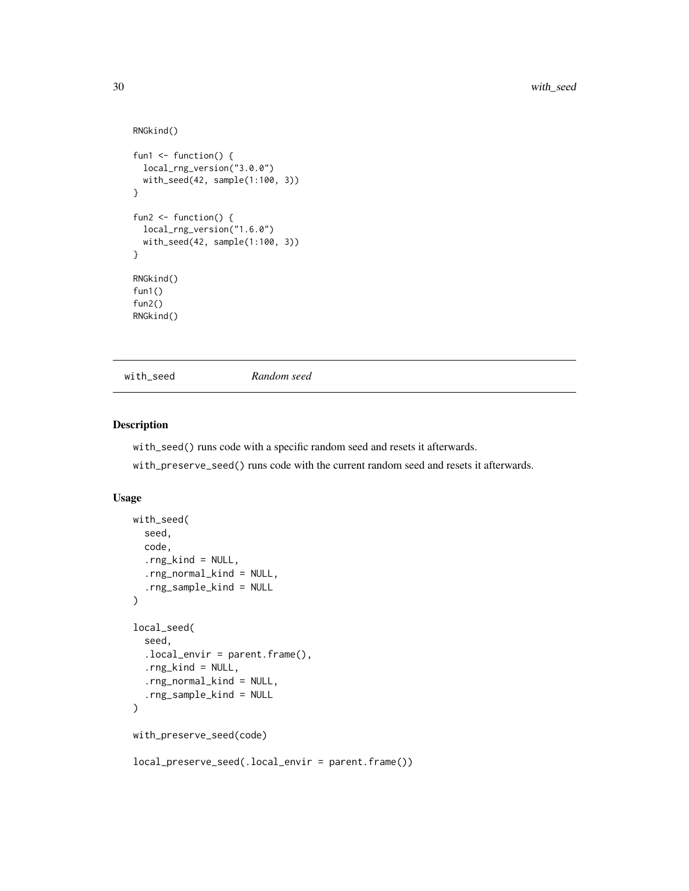```
RNGkind()
fun1 \leftarrow function() {
  local_rng_version("3.0.0")
  with_seed(42, sample(1:100, 3))
}
fun2 \leftarrow function() {
  local_rng_version("1.6.0")
  with_seed(42, sample(1:100, 3))
}
RNGkind()
fun1()
fun2()
RNGkind()
```
<span id="page-29-1"></span>

with\_seed *Random seed*

#### Description

with\_seed() runs code with a specific random seed and resets it afterwards.

with\_preserve\_seed() runs code with the current random seed and resets it afterwards.

```
with_seed(
  seed,
  code,
  .rng\_kind = NULL,.rng_normal_kind = NULL,
  .rng_sample_kind = NULL
)
local_seed(
  seed,
  .local_envir = parent.frame(),
  .rng_kind = NULL,
  .rng_normal_kind = NULL,
  .rng_sample_kind = NULL
)
with_preserve_seed(code)
local_preserve_seed(.local_envir = parent.frame())
```
<span id="page-29-0"></span>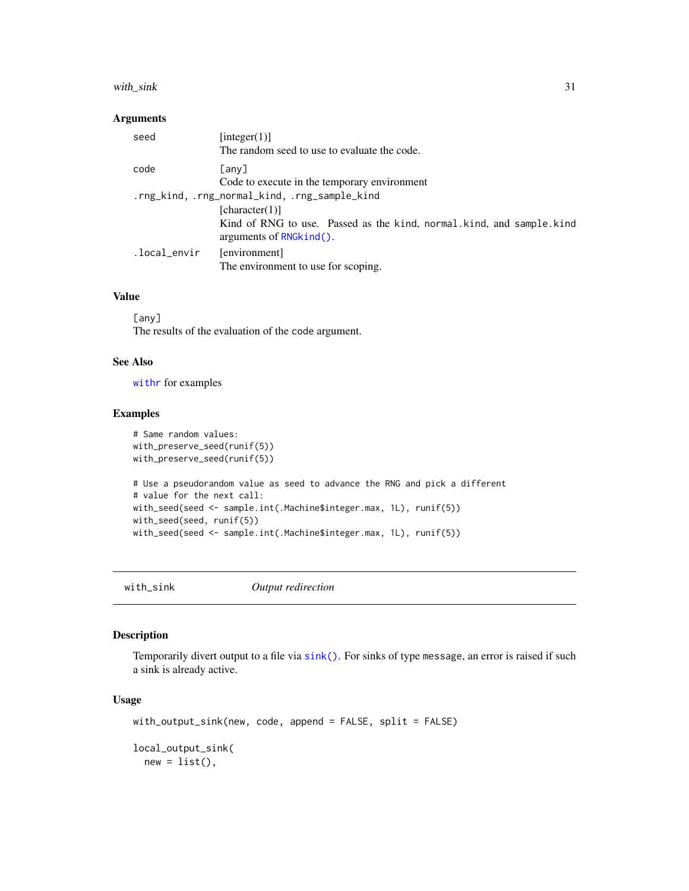#### <span id="page-30-0"></span>with\_sink 31

#### Arguments

| seed                                          | [integer(1)]<br>The random seed to use to evaluate the code.                                     |  |
|-----------------------------------------------|--------------------------------------------------------------------------------------------------|--|
| code                                          | [any]<br>Code to execute in the temporary environment                                            |  |
| .rng_kind, .rng_normal_kind, .rng_sample_kind |                                                                                                  |  |
|                                               | [character(1)]                                                                                   |  |
|                                               | Kind of RNG to use. Passed as the kind, normal kind, and sample kind<br>arguments of RNG kind(). |  |
| .local_envir                                  | [environment]<br>The environment to use for scoping.                                             |  |

### Value

[any] The results of the evaluation of the code argument.

### See Also

[withr](#page-9-1) for examples

#### Examples

```
# Same random values:
with_preserve_seed(runif(5))
with_preserve_seed(runif(5))
# Use a pseudorandom value as seed to advance the RNG and pick a different
# value for the next call:
with_seed(seed <- sample.int(.Machine$integer.max, 1L), runif(5))
with_seed(seed, runif(5))
with_seed(seed <- sample.int(.Machine$integer.max, 1L), runif(5))
```
<span id="page-30-1"></span>with\_sink *Output redirection*

### Description

Temporarily divert output to a file via [sink\(\)](#page-0-0). For sinks of type message, an error is raised if such a sink is already active.

```
with_output_sink(new, code, append = FALSE, split = FALSE)
local_output_sink(
 new = list(),
```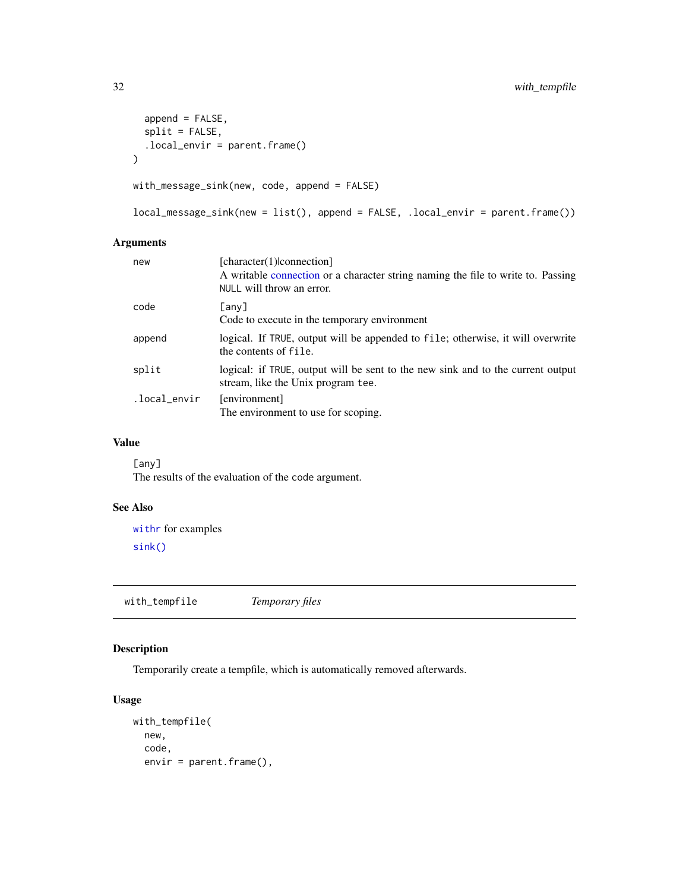```
append = FALSE,split = FALSE,
  local<sub>envir</sub> = parent.frame()
\mathcal{L}with_message_sink(new, code, append = FALSE)
```

```
local_message_sink(new = list(), append = FALSE, .local_envir = parent.frame())
```
### Arguments

| new          | [character(1) connection]<br>A writable connection or a character string naming the file to write to. Passing<br>NULL will throw an error. |
|--------------|--------------------------------------------------------------------------------------------------------------------------------------------|
| code         | [any]<br>Code to execute in the temporary environment                                                                                      |
| append       | logical. If TRUE, output will be appended to file; otherwise, it will overwrite<br>the contents of file.                                   |
| split        | logical: if TRUE, output will be sent to the new sink and to the current output<br>stream, like the Unix program tee.                      |
| .local_envir | [environment]<br>The environment to use for scoping.                                                                                       |

### Value

[any] The results of the evaluation of the code argument.

### See Also

[withr](#page-9-1) for examples [sink\(\)](#page-0-0)

with\_tempfile *Temporary files*

### Description

Temporarily create a tempfile, which is automatically removed afterwards.

```
with_tempfile(
 new,
 code,
 envir = parent.frame(),
```
<span id="page-31-0"></span>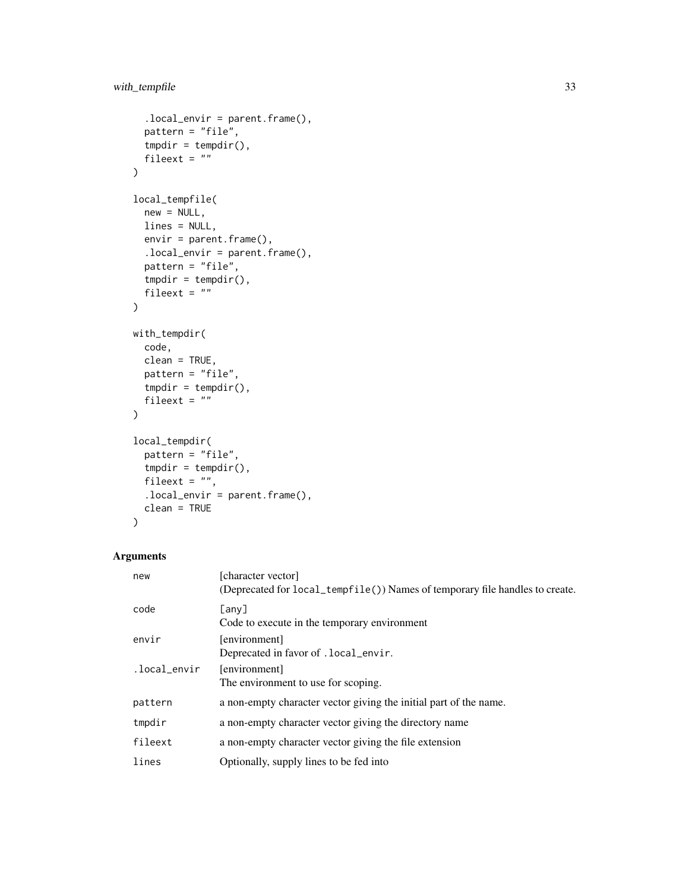```
localenvir = parent.frame(),
  pattern = "file",
  tmpdir = tempdir(),fileext = "")
local_tempfile(
  new = NULL,lines = NULL,
  envir = parent.frame(),.local_envir = parent.frame(),
  pattern = "file",
  tmpdir = tempdir(),
  fileext = ""
\mathcal{L}with_tempdir(
  code,
  clean = TRUE,
  pattern = "file",
  tmpdir = tempdir(),fileext = ""
\mathcal{L}local_tempdir(
  pattern = "file",
  tmpdir = tempdir(),
  fileext = "",
  local_envir = parent.frame(),
  clean = TRUE
)
```
## Arguments

| new          | [character vector]<br>(Deprecated for local_tempfile()) Names of temporary file handles to create. |
|--------------|----------------------------------------------------------------------------------------------------|
| code         | [any]<br>Code to execute in the temporary environment                                              |
| envir        | [environment]<br>Deprecated in favor of . local_envir.                                             |
| .local_envir | [environment]<br>The environment to use for scoping.                                               |
| pattern      | a non-empty character vector giving the initial part of the name.                                  |
| tmpdir       | a non-empty character vector giving the directory name                                             |
| fileext      | a non-empty character vector giving the file extension                                             |
| lines        | Optionally, supply lines to be fed into                                                            |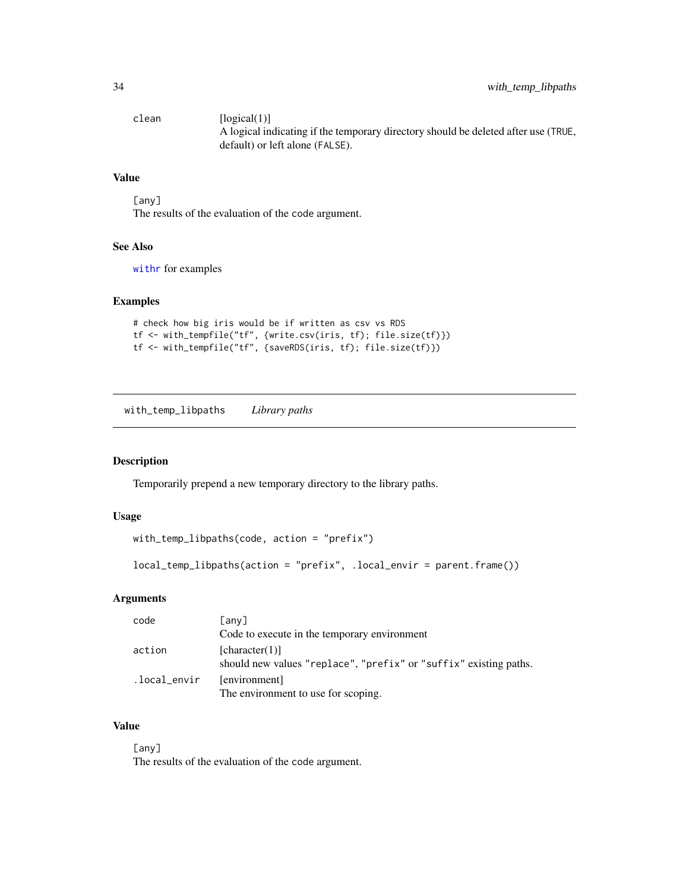<span id="page-33-0"></span>clean [logical(1)] A logical indicating if the temporary directory should be deleted after use (TRUE, default) or left alone (FALSE).

#### Value

[any] The results of the evaluation of the code argument.

### See Also

[withr](#page-9-1) for examples

#### Examples

```
# check how big iris would be if written as csv vs RDS
tf <- with_tempfile("tf", {write.csv(iris, tf); file.size(tf)})
tf <- with_tempfile("tf", {saveRDS(iris, tf); file.size(tf)})
```
<span id="page-33-1"></span>with\_temp\_libpaths *Library paths*

### Description

Temporarily prepend a new temporary directory to the library paths.

#### Usage

```
with_temp_libpaths(code, action = "prefix")
```

```
local_temp_libpaths(action = "prefix", .local_envir = parent.frame())
```
### Arguments

| code         | [any]                                                                               |
|--------------|-------------------------------------------------------------------------------------|
|              | Code to execute in the temporary environment                                        |
| action       | [character(1)]<br>should new values "replace", "prefix" or "suffix" existing paths. |
| .local_envir | [environment]<br>The environment to use for scoping.                                |

### Value

[any]

The results of the evaluation of the code argument.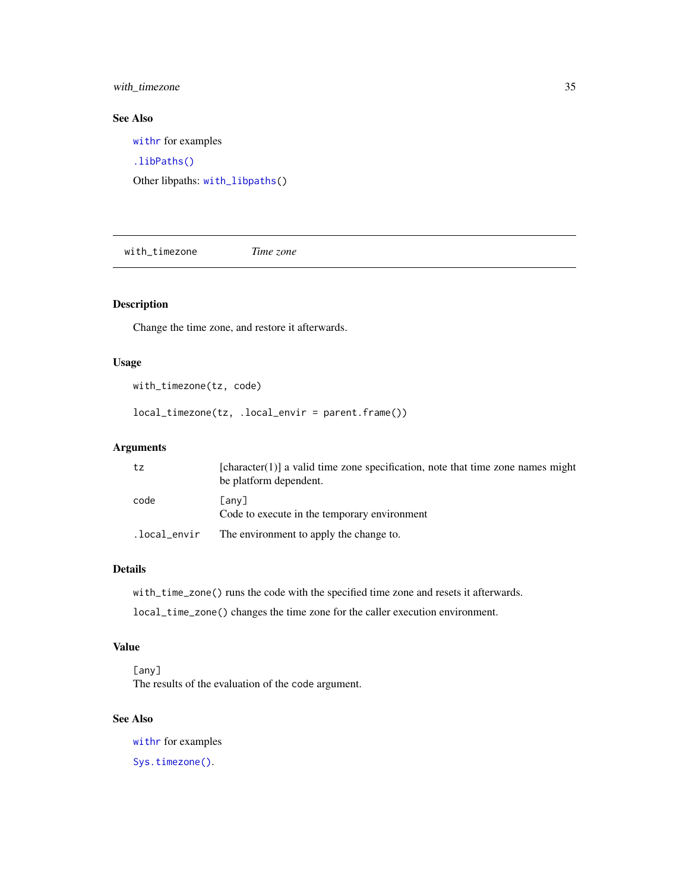<span id="page-34-0"></span>with\_timezone 35

### See Also

[withr](#page-9-1) for examples

[.libPaths\(\)](#page-0-0)

Other libpaths: [with\\_libpaths\(](#page-18-1))

with\_timezone *Time zone*

### Description

Change the time zone, and restore it afterwards.

#### Usage

```
with_timezone(tz, code)
```
local\_timezone(tz, .local\_envir = parent.frame())

#### Arguments

| tz   | $[character(1)]$ a valid time zone specification, note that time zone names might<br>be platform dependent. |
|------|-------------------------------------------------------------------------------------------------------------|
| code | [any]<br>Code to execute in the temporary environment                                                       |
|      | . local_envir The environment to apply the change to.                                                       |

### Details

with\_time\_zone() runs the code with the specified time zone and resets it afterwards.

local\_time\_zone() changes the time zone for the caller execution environment.

### Value

[any] The results of the evaluation of the code argument.

### See Also

[withr](#page-9-1) for examples [Sys.timezone\(\)](#page-0-0).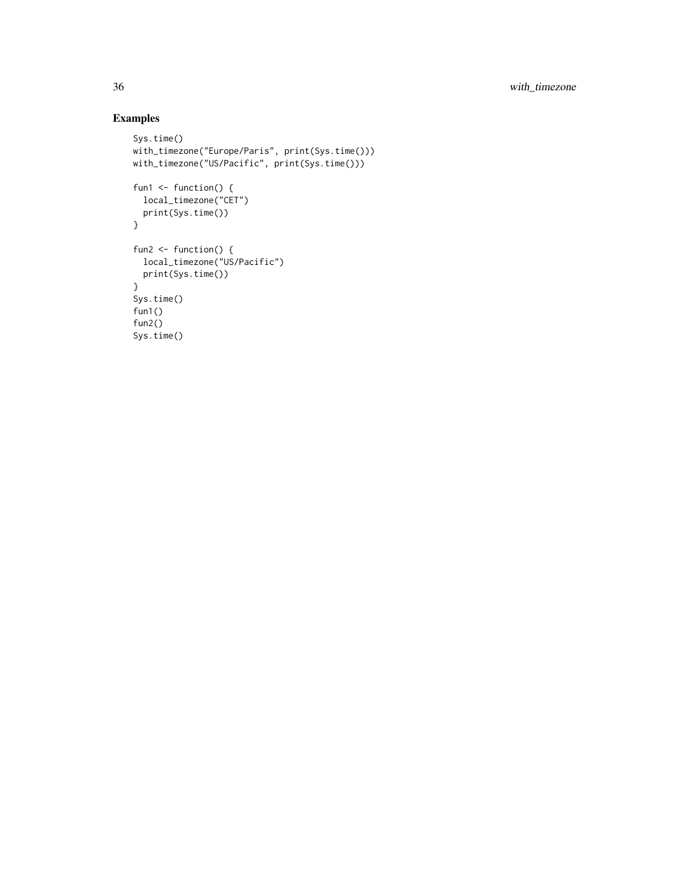### Examples

```
Sys.time()
with_timezone("Europe/Paris", print(Sys.time()))
with_timezone("US/Pacific", print(Sys.time()))
fun1 \leftarrow function() {
  local_timezone("CET")
  print(Sys.time())
}
fun2 <- function() {
 local_timezone("US/Pacific")
 print(Sys.time())
}
Sys.time()
fun1()
fun2()
Sys.time()
```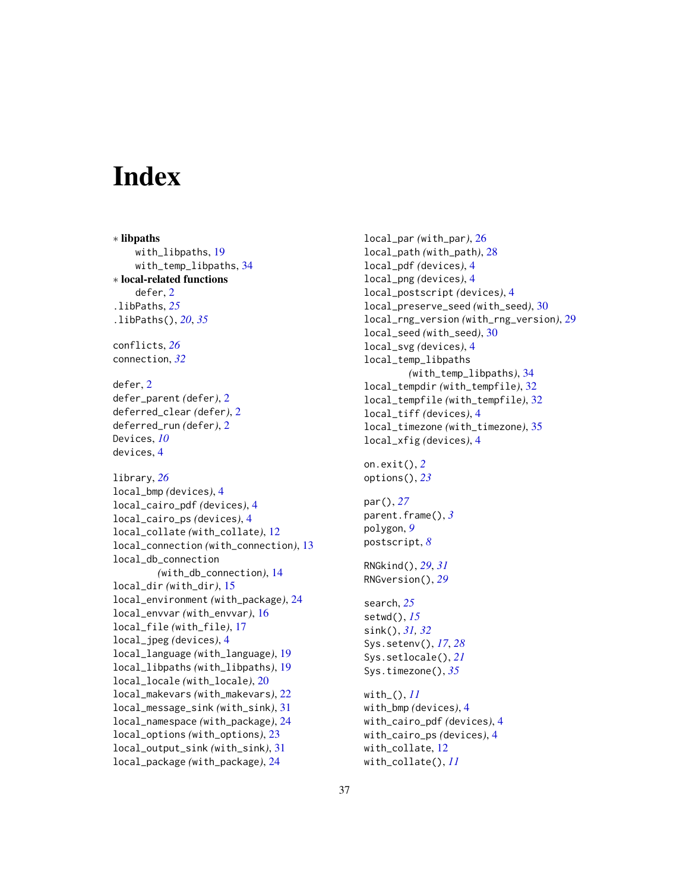# <span id="page-36-0"></span>**Index**

∗ libpaths with\_libpaths, [19](#page-18-0) with\_temp\_libpaths, [34](#page-33-0) ∗ local-related functions defer, [2](#page-1-0) .libPaths, *[25](#page-24-0)* .libPaths(), *[20](#page-19-0)*, *[35](#page-34-0)* conflicts, *[26](#page-25-0)* connection, *[32](#page-31-0)* defer, [2](#page-1-0) defer\_parent *(*defer*)*, [2](#page-1-0) deferred\_clear *(*defer*)*, [2](#page-1-0) deferred\_run *(*defer*)*, [2](#page-1-0) Devices, *[10](#page-9-0)* devices, [4](#page-3-0) library, *[26](#page-25-0)* local\_bmp *(*devices*)*, [4](#page-3-0) local\_cairo\_pdf *(*devices*)*, [4](#page-3-0) local\_cairo\_ps *(*devices*)*, [4](#page-3-0) local\_collate *(*with\_collate*)*, [12](#page-11-0) local\_connection *(*with\_connection*)*, [13](#page-12-0) local\_db\_connection *(*with\_db\_connection*)*, [14](#page-13-0) local\_dir *(*with\_dir*)*, [15](#page-14-0) local\_environment *(*with\_package*)*, [24](#page-23-0) local\_envvar *(*with\_envvar*)*, [16](#page-15-0) local\_file *(*with\_file*)*, [17](#page-16-0) local\_jpeg *(*devices*)*, [4](#page-3-0) local\_language *(*with\_language*)*, [19](#page-18-0) local\_libpaths *(*with\_libpaths*)*, [19](#page-18-0) local\_locale *(*with\_locale*)*, [20](#page-19-0) local\_makevars *(*with\_makevars*)*, [22](#page-21-0) local\_message\_sink *(*with\_sink*)*, [31](#page-30-0) local\_namespace *(*with\_package*)*, [24](#page-23-0) local\_options *(*with\_options*)*, [23](#page-22-0) local\_output\_sink *(*with\_sink*)*, [31](#page-30-0) local\_package *(*with\_package*)*, [24](#page-23-0)

with\_collate(), *[11](#page-10-0)*

local\_par *(*with\_par*)*, [26](#page-25-0) local\_path *(*with\_path*)*, [28](#page-27-0) local\_pdf *(*devices*)*, [4](#page-3-0) local\_png *(*devices*)*, [4](#page-3-0) local\_postscript *(*devices*)*, [4](#page-3-0) local\_preserve\_seed *(*with\_seed*)*, [30](#page-29-0) local\_rng\_version *(*with\_rng\_version*)*, [29](#page-28-0) local\_seed *(*with\_seed*)*, [30](#page-29-0) local\_svg *(*devices*)*, [4](#page-3-0) local\_temp\_libpaths *(*with\_temp\_libpaths*)*, [34](#page-33-0) local\_tempdir *(*with\_tempfile*)*, [32](#page-31-0) local\_tempfile *(*with\_tempfile*)*, [32](#page-31-0) local\_tiff *(*devices*)*, [4](#page-3-0) local\_timezone *(*with\_timezone*)*, [35](#page-34-0) local\_xfig *(*devices*)*, [4](#page-3-0) on.exit(), *[2](#page-1-0)* options(), *[23](#page-22-0)* par(), *[27](#page-26-0)* parent.frame(), *[3](#page-2-0)* polygon, *[9](#page-8-0)* postscript, *[8](#page-7-0)* RNGkind(), *[29](#page-28-0)*, *[31](#page-30-0)* RNGversion(), *[29](#page-28-0)* search, *[25](#page-24-0)* setwd(), *[15](#page-14-0)* sink(), *[31,](#page-30-0) [32](#page-31-0)* Sys.setenv(), *[17](#page-16-0)*, *[28](#page-27-0)* Sys.setlocale(), *[21](#page-20-0)* Sys.timezone(), *[35](#page-34-0)* with\_(), *[11](#page-10-0)* with\_bmp *(*devices*)*, [4](#page-3-0) with\_cairo\_pdf *(*devices*)*, [4](#page-3-0) with\_cairo\_ps *(*devices*)*, [4](#page-3-0) with\_collate, [12](#page-11-0)